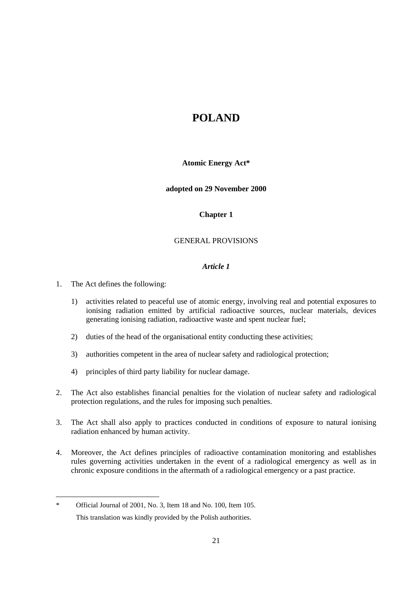# **POLAND**

**Atomic Energy Act\***

**adopted on 29 November 2000**

## **Chapter 1**

## GENERAL PROVISIONS

- 1. The Act defines the following:
	- 1) activities related to peaceful use of atomic energy, involving real and potential exposures to ionising radiation emitted by artificial radioactive sources, nuclear materials, devices generating ionising radiation, radioactive waste and spent nuclear fuel;
	- 2) duties of the head of the organisational entity conducting these activities;
	- 3) authorities competent in the area of nuclear safety and radiological protection;
	- 4) principles of third party liability for nuclear damage.
- 2. The Act also establishes financial penalties for the violation of nuclear safety and radiological protection regulations, and the rules for imposing such penalties.
- 3. The Act shall also apply to practices conducted in conditions of exposure to natural ionising radiation enhanced by human activity.
- 4. Moreover, the Act defines principles of radioactive contamination monitoring and establishes rules governing activities undertaken in the event of a radiological emergency as well as in chronic exposure conditions in the aftermath of a radiological emergency or a past practice.

<sup>-</sup>\* Official Journal of 2001, No. 3, Item 18 and No. 100, Item 105. This translation was kindly provided by the Polish authorities.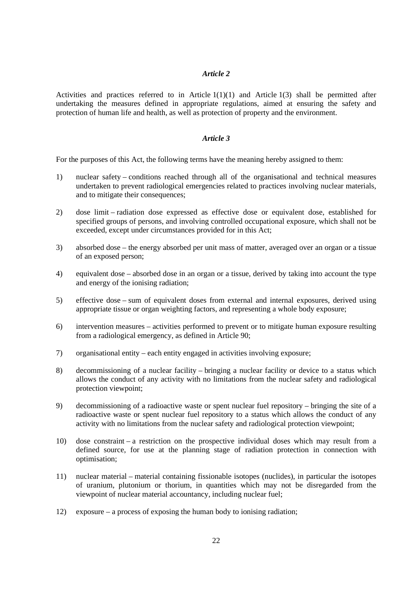Activities and practices referred to in Article  $1(1)(1)$  and Article  $1(3)$  shall be permitted after undertaking the measures defined in appropriate regulations, aimed at ensuring the safety and protection of human life and health, as well as protection of property and the environment.

### *Article 3*

For the purposes of this Act, the following terms have the meaning hereby assigned to them:

- 1) nuclear safety conditions reached through all of the organisational and technical measures undertaken to prevent radiological emergencies related to practices involving nuclear materials, and to mitigate their consequences:
- 2) dose limit radiation dose expressed as effective dose or equivalent dose, established for specified groups of persons, and involving controlled occupational exposure, which shall not be exceeded, except under circumstances provided for in this Act;
- 3) absorbed dose the energy absorbed per unit mass of matter, averaged over an organ or a tissue of an exposed person;
- 4) equivalent dose absorbed dose in an organ or a tissue, derived by taking into account the type and energy of the ionising radiation;
- 5) effective dose sum of equivalent doses from external and internal exposures, derived using appropriate tissue or organ weighting factors, and representing a whole body exposure;
- 6) intervention measures activities performed to prevent or to mitigate human exposure resulting from a radiological emergency, as defined in Article 90;
- 7) organisational entity each entity engaged in activities involving exposure;
- 8) decommissioning of a nuclear facility bringing a nuclear facility or device to a status which allows the conduct of any activity with no limitations from the nuclear safety and radiological protection viewpoint;
- 9) decommissioning of a radioactive waste or spent nuclear fuel repository bringing the site of a radioactive waste or spent nuclear fuel repository to a status which allows the conduct of any activity with no limitations from the nuclear safety and radiological protection viewpoint;
- 10) dose constraint a restriction on the prospective individual doses which may result from a defined source, for use at the planning stage of radiation protection in connection with optimisation;
- 11) nuclear material material containing fissionable isotopes (nuclides), in particular the isotopes of uranium, plutonium or thorium, in quantities which may not be disregarded from the viewpoint of nuclear material accountancy, including nuclear fuel;
- 12) exposure a process of exposing the human body to ionising radiation;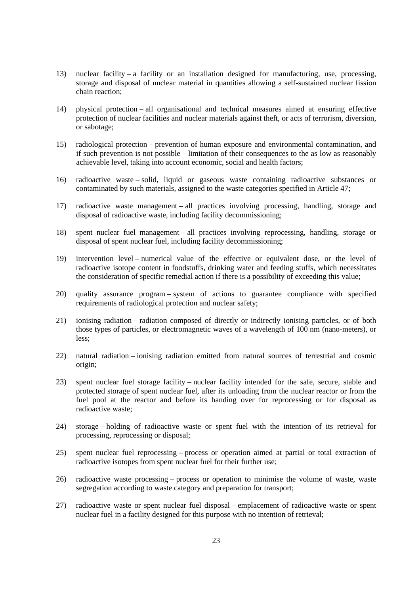- 13) nuclear facility a facility or an installation designed for manufacturing, use, processing, storage and disposal of nuclear material in quantities allowing a self-sustained nuclear fission chain reaction;
- 14) physical protection all organisational and technical measures aimed at ensuring effective protection of nuclear facilities and nuclear materials against theft, or acts of terrorism, diversion, or sabotage;
- 15) radiological protection prevention of human exposure and environmental contamination, and if such prevention is not possible – limitation of their consequences to the as low as reasonably achievable level, taking into account economic, social and health factors;
- 16) radioactive waste solid, liquid or gaseous waste containing radioactive substances or contaminated by such materials, assigned to the waste categories specified in Article 47;
- 17) radioactive waste management all practices involving processing, handling, storage and disposal of radioactive waste, including facility decommissioning;
- 18) spent nuclear fuel management all practices involving reprocessing, handling, storage or disposal of spent nuclear fuel, including facility decommissioning;
- 19) intervention level numerical value of the effective or equivalent dose, or the level of radioactive isotope content in foodstuffs, drinking water and feeding stuffs, which necessitates the consideration of specific remedial action if there is a possibility of exceeding this value;
- 20) quality assurance program system of actions to guarantee compliance with specified requirements of radiological protection and nuclear safety;
- 21) ionising radiation radiation composed of directly or indirectly ionising particles, or of both those types of particles, or electromagnetic waves of a wavelength of 100 nm (nano-meters), or less;
- 22) natural radiation ionising radiation emitted from natural sources of terrestrial and cosmic origin;
- 23) spent nuclear fuel storage facility nuclear facility intended for the safe, secure, stable and protected storage of spent nuclear fuel, after its unloading from the nuclear reactor or from the fuel pool at the reactor and before its handing over for reprocessing or for disposal as radioactive waste;
- 24) storage holding of radioactive waste or spent fuel with the intention of its retrieval for processing, reprocessing or disposal;
- 25) spent nuclear fuel reprocessing process or operation aimed at partial or total extraction of radioactive isotopes from spent nuclear fuel for their further use;
- 26) radioactive waste processing process or operation to minimise the volume of waste, waste segregation according to waste category and preparation for transport;
- 27) radioactive waste or spent nuclear fuel disposal emplacement of radioactive waste or spent nuclear fuel in a facility designed for this purpose with no intention of retrieval;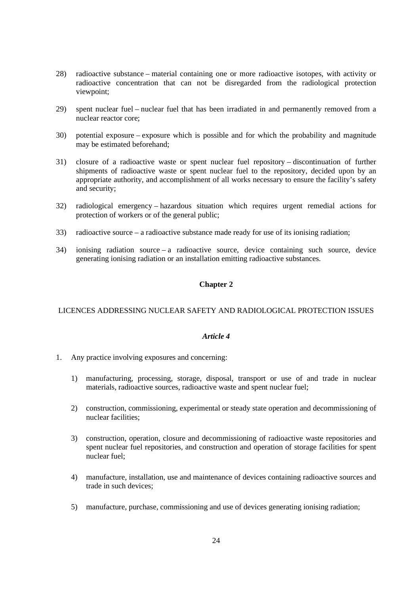- 28) radioactive substance material containing one or more radioactive isotopes, with activity or radioactive concentration that can not be disregarded from the radiological protection viewpoint;
- 29) spent nuclear fuel nuclear fuel that has been irradiated in and permanently removed from a nuclear reactor core;
- 30) potential exposure exposure which is possible and for which the probability and magnitude may be estimated beforehand;
- 31) closure of a radioactive waste or spent nuclear fuel repository discontinuation of further shipments of radioactive waste or spent nuclear fuel to the repository, decided upon by an appropriate authority, and accomplishment of all works necessary to ensure the facility's safety and security;
- 32) radiological emergency hazardous situation which requires urgent remedial actions for protection of workers or of the general public;
- 33) radioactive source a radioactive substance made ready for use of its ionising radiation;
- 34) ionising radiation source a radioactive source, device containing such source, device generating ionising radiation or an installation emitting radioactive substances.

## **Chapter 2**

### LICENCES ADDRESSING NUCLEAR SAFETY AND RADIOLOGICAL PROTECTION ISSUES

- 1. Any practice involving exposures and concerning:
	- 1) manufacturing, processing, storage, disposal, transport or use of and trade in nuclear materials, radioactive sources, radioactive waste and spent nuclear fuel;
	- 2) construction, commissioning, experimental or steady state operation and decommissioning of nuclear facilities;
	- 3) construction, operation, closure and decommissioning of radioactive waste repositories and spent nuclear fuel repositories, and construction and operation of storage facilities for spent nuclear fuel;
	- 4) manufacture, installation, use and maintenance of devices containing radioactive sources and trade in such devices;
	- 5) manufacture, purchase, commissioning and use of devices generating ionising radiation;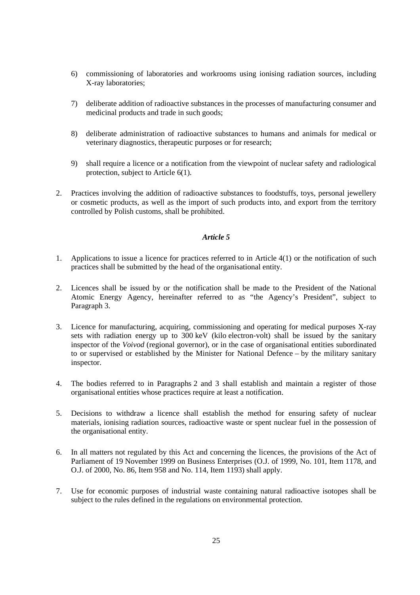- 6) commissioning of laboratories and workrooms using ionising radiation sources, including X-ray laboratories;
- 7) deliberate addition of radioactive substances in the processes of manufacturing consumer and medicinal products and trade in such goods;
- 8) deliberate administration of radioactive substances to humans and animals for medical or veterinary diagnostics, therapeutic purposes or for research;
- 9) shall require a licence or a notification from the viewpoint of nuclear safety and radiological protection, subject to Article 6(1).
- 2. Practices involving the addition of radioactive substances to foodstuffs, toys, personal jewellery or cosmetic products, as well as the import of such products into, and export from the territory controlled by Polish customs, shall be prohibited.

- 1. Applications to issue a licence for practices referred to in Article 4(1) or the notification of such practices shall be submitted by the head of the organisational entity.
- 2. Licences shall be issued by or the notification shall be made to the President of the National Atomic Energy Agency, hereinafter referred to as "the Agency's President", subject to Paragraph 3.
- 3. Licence for manufacturing, acquiring, commissioning and operating for medical purposes X-ray sets with radiation energy up to 300 keV (kilo electron-volt) shall be issued by the sanitary inspector of the *Voivod* (regional governor), or in the case of organisational entities subordinated to or supervised or established by the Minister for National Defence – by the military sanitary inspector.
- 4. The bodies referred to in Paragraphs 2 and 3 shall establish and maintain a register of those organisational entities whose practices require at least a notification.
- 5. Decisions to withdraw a licence shall establish the method for ensuring safety of nuclear materials, ionising radiation sources, radioactive waste or spent nuclear fuel in the possession of the organisational entity.
- 6. In all matters not regulated by this Act and concerning the licences, the provisions of the Act of Parliament of 19 November 1999 on Business Enterprises (O.J. of 1999, No. 101, Item 1178, and O.J. of 2000, No. 86, Item 958 and No. 114, Item 1193) shall apply.
- 7. Use for economic purposes of industrial waste containing natural radioactive isotopes shall be subject to the rules defined in the regulations on environmental protection.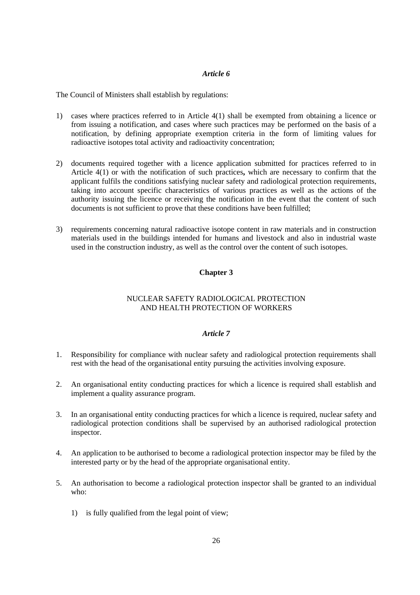The Council of Ministers shall establish by regulations:

- 1) cases where practices referred to in Article 4(1) shall be exempted from obtaining a licence or from issuing a notification, and cases where such practices may be performed on the basis of a notification, by defining appropriate exemption criteria in the form of limiting values for radioactive isotopes total activity and radioactivity concentration;
- 2) documents required together with a licence application submitted for practices referred to in Article 4(1) or with the notification of such practices**,** which are necessary to confirm that the applicant fulfils the conditions satisfying nuclear safety and radiological protection requirements, taking into account specific characteristics of various practices as well as the actions of the authority issuing the licence or receiving the notification in the event that the content of such documents is not sufficient to prove that these conditions have been fulfilled;
- 3) requirements concerning natural radioactive isotope content in raw materials and in construction materials used in the buildings intended for humans and livestock and also in industrial waste used in the construction industry, as well as the control over the content of such isotopes.

## **Chapter 3**

## NUCLEAR SAFETY RADIOLOGICAL PROTECTION AND HEALTH PROTECTION OF WORKERS

- 1. Responsibility for compliance with nuclear safety and radiological protection requirements shall rest with the head of the organisational entity pursuing the activities involving exposure.
- 2. An organisational entity conducting practices for which a licence is required shall establish and implement a quality assurance program.
- 3. In an organisational entity conducting practices for which a licence is required, nuclear safety and radiological protection conditions shall be supervised by an authorised radiological protection inspector.
- 4. An application to be authorised to become a radiological protection inspector may be filed by the interested party or by the head of the appropriate organisational entity.
- 5. An authorisation to become a radiological protection inspector shall be granted to an individual who:
	- 1) is fully qualified from the legal point of view;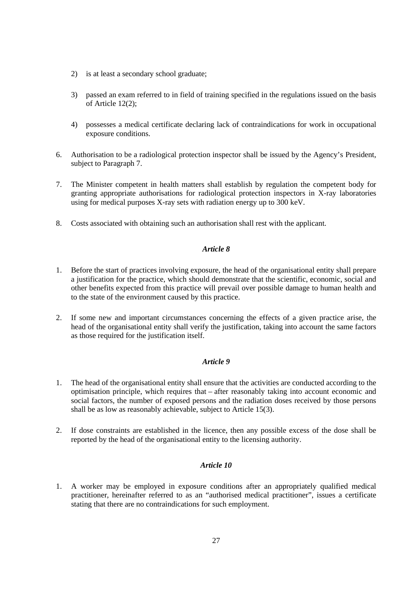- 2) is at least a secondary school graduate;
- 3) passed an exam referred to in field of training specified in the regulations issued on the basis of Article 12(2);
- 4) possesses a medical certificate declaring lack of contraindications for work in occupational exposure conditions.
- 6. Authorisation to be a radiological protection inspector shall be issued by the Agency's President, subject to Paragraph 7.
- 7. The Minister competent in health matters shall establish by regulation the competent body for granting appropriate authorisations for radiological protection inspectors in X-ray laboratories using for medical purposes X-ray sets with radiation energy up to 300 keV.
- 8. Costs associated with obtaining such an authorisation shall rest with the applicant.

- 1. Before the start of practices involving exposure, the head of the organisational entity shall prepare a justification for the practice, which should demonstrate that the scientific, economic, social and other benefits expected from this practice will prevail over possible damage to human health and to the state of the environment caused by this practice.
- 2. If some new and important circumstances concerning the effects of a given practice arise, the head of the organisational entity shall verify the justification, taking into account the same factors as those required for the justification itself.

## *Article 9*

- 1. The head of the organisational entity shall ensure that the activities are conducted according to the optimisation principle, which requires that – after reasonably taking into account economic and social factors, the number of exposed persons and the radiation doses received by those persons shall be as low as reasonably achievable, subject to Article 15(3).
- 2. If dose constraints are established in the licence, then any possible excess of the dose shall be reported by the head of the organisational entity to the licensing authority.

## *Article 10*

1. A worker may be employed in exposure conditions after an appropriately qualified medical practitioner, hereinafter referred to as an "authorised medical practitioner", issues a certificate stating that there are no contraindications for such employment.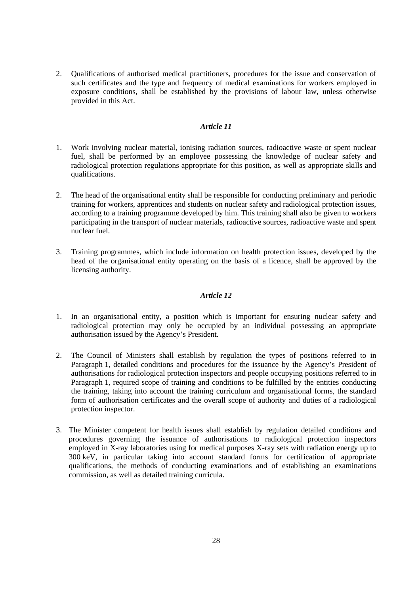2. Qualifications of authorised medical practitioners, procedures for the issue and conservation of such certificates and the type and frequency of medical examinations for workers employed in exposure conditions, shall be established by the provisions of labour law, unless otherwise provided in this Act.

### *Article 11*

- 1. Work involving nuclear material, ionising radiation sources, radioactive waste or spent nuclear fuel, shall be performed by an employee possessing the knowledge of nuclear safety and radiological protection regulations appropriate for this position, as well as appropriate skills and qualifications.
- 2. The head of the organisational entity shall be responsible for conducting preliminary and periodic training for workers, apprentices and students on nuclear safety and radiological protection issues, according to a training programme developed by him. This training shall also be given to workers participating in the transport of nuclear materials, radioactive sources, radioactive waste and spent nuclear fuel.
- 3. Training programmes, which include information on health protection issues, developed by the head of the organisational entity operating on the basis of a licence, shall be approved by the licensing authority.

- 1. In an organisational entity, a position which is important for ensuring nuclear safety and radiological protection may only be occupied by an individual possessing an appropriate authorisation issued by the Agency's President.
- 2. The Council of Ministers shall establish by regulation the types of positions referred to in Paragraph 1, detailed conditions and procedures for the issuance by the Agency's President of authorisations for radiological protection inspectors and people occupying positions referred to in Paragraph 1, required scope of training and conditions to be fulfilled by the entities conducting the training, taking into account the training curriculum and organisational forms, the standard form of authorisation certificates and the overall scope of authority and duties of a radiological protection inspector.
- 3. The Minister competent for health issues shall establish by regulation detailed conditions and procedures governing the issuance of authorisations to radiological protection inspectors employed in X-ray laboratories using for medical purposes X-ray sets with radiation energy up to 300 keV, in particular taking into account standard forms for certification of appropriate qualifications, the methods of conducting examinations and of establishing an examinations commission, as well as detailed training curricula.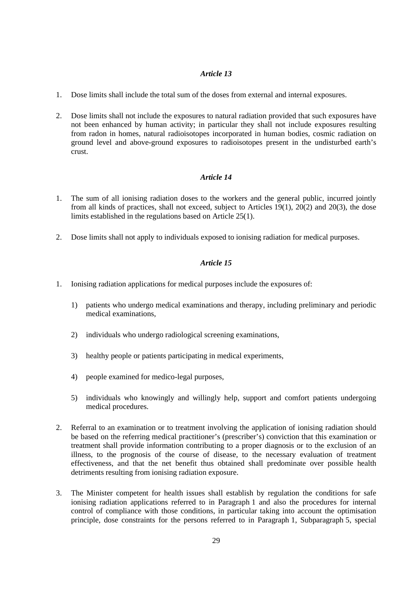- 1. Dose limits shall include the total sum of the doses from external and internal exposures.
- 2. Dose limits shall not include the exposures to natural radiation provided that such exposures have not been enhanced by human activity; in particular they shall not include exposures resulting from radon in homes, natural radioisotopes incorporated in human bodies, cosmic radiation on ground level and above-ground exposures to radioisotopes present in the undisturbed earth's crust.

## *Article 14*

- 1. The sum of all ionising radiation doses to the workers and the general public, incurred jointly from all kinds of practices, shall not exceed, subject to Articles 19(1), 20(2) and 20(3), the dose limits established in the regulations based on Article 25(1).
- 2. Dose limits shall not apply to individuals exposed to ionising radiation for medical purposes.

- 1. Ionising radiation applications for medical purposes include the exposures of:
	- 1) patients who undergo medical examinations and therapy, including preliminary and periodic medical examinations,
	- 2) individuals who undergo radiological screening examinations,
	- 3) healthy people or patients participating in medical experiments,
	- 4) people examined for medico-legal purposes,
	- 5) individuals who knowingly and willingly help, support and comfort patients undergoing medical procedures.
- 2. Referral to an examination or to treatment involving the application of ionising radiation should be based on the referring medical practitioner's (prescriber's) conviction that this examination or treatment shall provide information contributing to a proper diagnosis or to the exclusion of an illness, to the prognosis of the course of disease, to the necessary evaluation of treatment effectiveness, and that the net benefit thus obtained shall predominate over possible health detriments resulting from ionising radiation exposure.
- 3. The Minister competent for health issues shall establish by regulation the conditions for safe ionising radiation applications referred to in Paragraph 1 and also the procedures for internal control of compliance with those conditions, in particular taking into account the optimisation principle, dose constraints for the persons referred to in Paragraph 1, Subparagraph 5, special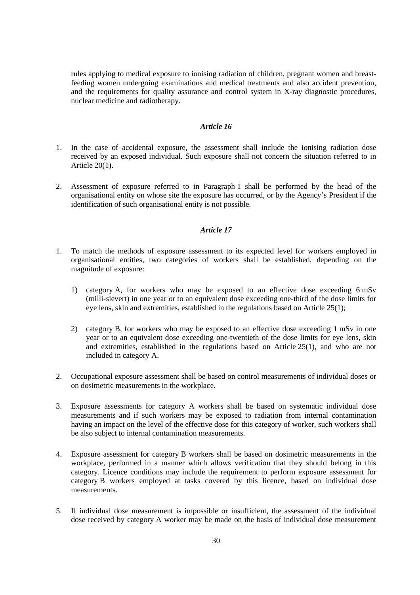rules applying to medical exposure to ionising radiation of children, pregnant women and breastfeeding women undergoing examinations and medical treatments and also accident prevention, and the requirements for quality assurance and control system in X-ray diagnostic procedures, nuclear medicine and radiotherapy.

#### *Article 16*

- 1. In the case of accidental exposure, the assessment shall include the ionising radiation dose received by an exposed individual. Such exposure shall not concern the situation referred to in Article 20(1).
- 2. Assessment of exposure referred to in Paragraph 1 shall be performed by the head of the organisational entity on whose site the exposure has occurred, or by the Agency's President if the identification of such organisational entity is not possible.

- 1. To match the methods of exposure assessment to its expected level for workers employed in organisational entities, two categories of workers shall be established, depending on the magnitude of exposure:
	- 1) category A, for workers who may be exposed to an effective dose exceeding 6 mSv (milli-sievert) in one year or to an equivalent dose exceeding one-third of the dose limits for eye lens, skin and extremities, established in the regulations based on Article 25(1);
	- 2) category B, for workers who may be exposed to an effective dose exceeding 1 mSv in one year or to an equivalent dose exceeding one-twentieth of the dose limits for eye lens, skin and extremities, established in the regulations based on Article 25(1), and who are not included in category A.
- 2. Occupational exposure assessment shall be based on control measurements of individual doses or on dosimetric measurements in the workplace.
- 3. Exposure assessments for category A workers shall be based on systematic individual dose measurements and if such workers may be exposed to radiation from internal contamination having an impact on the level of the effective dose for this category of worker, such workers shall be also subject to internal contamination measurements.
- 4. Exposure assessment for category B workers shall be based on dosimetric measurements in the workplace, performed in a manner which allows verification that they should belong in this category. Licence conditions may include the requirement to perform exposure assessment for category B workers employed at tasks covered by this licence, based on individual dose measurements.
- 5. If individual dose measurement is impossible or insufficient, the assessment of the individual dose received by category A worker may be made on the basis of individual dose measurement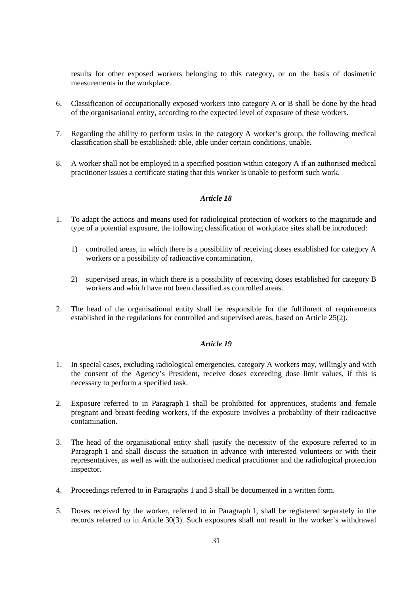results for other exposed workers belonging to this category, or on the basis of dosimetric measurements in the workplace.

- 6. Classification of occupationally exposed workers into category A or B shall be done by the head of the organisational entity, according to the expected level of exposure of these workers.
- 7. Regarding the ability to perform tasks in the category A worker's group, the following medical classification shall be established: able, able under certain conditions, unable.
- 8. A worker shall not be employed in a specified position within category A if an authorised medical practitioner issues a certificate stating that this worker is unable to perform such work.

### *Article 18*

- 1. To adapt the actions and means used for radiological protection of workers to the magnitude and type of a potential exposure, the following classification of workplace sites shall be introduced:
	- 1) controlled areas, in which there is a possibility of receiving doses established for category A workers or a possibility of radioactive contamination,
	- 2) supervised areas, in which there is a possibility of receiving doses established for category B workers and which have not been classified as controlled areas.
- 2. The head of the organisational entity shall be responsible for the fulfilment of requirements established in the regulations for controlled and supervised areas, based on Article 25(2).

- 1. In special cases, excluding radiological emergencies, category A workers may, willingly and with the consent of the Agency's President, receive doses exceeding dose limit values, if this is necessary to perform a specified task.
- 2. Exposure referred to in Paragraph 1 shall be prohibited for apprentices, students and female pregnant and breast-feeding workers, if the exposure involves a probability of their radioactive contamination.
- 3. The head of the organisational entity shall justify the necessity of the exposure referred to in Paragraph 1 and shall discuss the situation in advance with interested volunteers or with their representatives, as well as with the authorised medical practitioner and the radiological protection inspector.
- 4. Proceedings referred to in Paragraphs 1 and 3 shall be documented in a written form.
- 5. Doses received by the worker, referred to in Paragraph 1, shall be registered separately in the records referred to in Article 30(3). Such exposures shall not result in the worker's withdrawal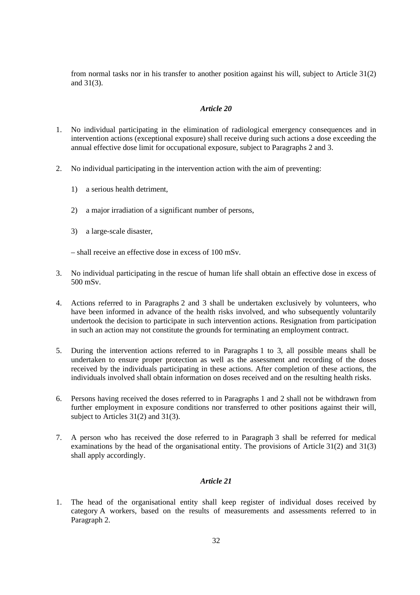from normal tasks nor in his transfer to another position against his will, subject to Article 31(2) and 31(3).

### *Article 20*

- 1. No individual participating in the elimination of radiological emergency consequences and in intervention actions (exceptional exposure) shall receive during such actions a dose exceeding the annual effective dose limit for occupational exposure, subject to Paragraphs 2 and 3.
- 2. No individual participating in the intervention action with the aim of preventing:
	- 1) a serious health detriment,
	- 2) a major irradiation of a significant number of persons,
	- 3) a large-scale disaster,

– shall receive an effective dose in excess of 100 mSv.

- 3. No individual participating in the rescue of human life shall obtain an effective dose in excess of 500 mSv.
- 4. Actions referred to in Paragraphs 2 and 3 shall be undertaken exclusively by volunteers, who have been informed in advance of the health risks involved, and who subsequently voluntarily undertook the decision to participate in such intervention actions. Resignation from participation in such an action may not constitute the grounds for terminating an employment contract.
- 5. During the intervention actions referred to in Paragraphs 1 to 3, all possible means shall be undertaken to ensure proper protection as well as the assessment and recording of the doses received by the individuals participating in these actions. After completion of these actions, the individuals involved shall obtain information on doses received and on the resulting health risks.
- 6. Persons having received the doses referred to in Paragraphs 1 and 2 shall not be withdrawn from further employment in exposure conditions nor transferred to other positions against their will, subject to Articles 31(2) and 31(3).
- 7. A person who has received the dose referred to in Paragraph 3 shall be referred for medical examinations by the head of the organisational entity. The provisions of Article 31(2) and 31(3) shall apply accordingly.

### *Article 21*

1. The head of the organisational entity shall keep register of individual doses received by category A workers, based on the results of measurements and assessments referred to in Paragraph 2.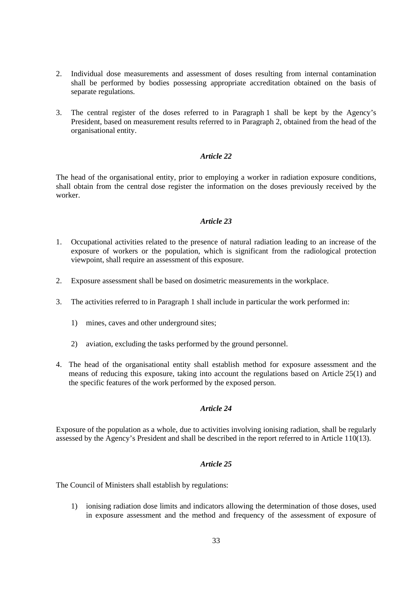- 2. Individual dose measurements and assessment of doses resulting from internal contamination shall be performed by bodies possessing appropriate accreditation obtained on the basis of separate regulations.
- 3. The central register of the doses referred to in Paragraph 1 shall be kept by the Agency's President, based on measurement results referred to in Paragraph 2, obtained from the head of the organisational entity.

The head of the organisational entity, prior to employing a worker in radiation exposure conditions, shall obtain from the central dose register the information on the doses previously received by the worker.

## *Article 23*

- 1. Occupational activities related to the presence of natural radiation leading to an increase of the exposure of workers or the population, which is significant from the radiological protection viewpoint, shall require an assessment of this exposure.
- 2. Exposure assessment shall be based on dosimetric measurements in the workplace.
- 3. The activities referred to in Paragraph 1 shall include in particular the work performed in:
	- 1) mines, caves and other underground sites;
	- 2) aviation, excluding the tasks performed by the ground personnel.
- 4. The head of the organisational entity shall establish method for exposure assessment and the means of reducing this exposure, taking into account the regulations based on Article 25(1) and the specific features of the work performed by the exposed person.

## *Article 24*

Exposure of the population as a whole, due to activities involving ionising radiation, shall be regularly assessed by the Agency's President and shall be described in the report referred to in Article 110(13).

#### *Article 25*

The Council of Ministers shall establish by regulations:

1) ionising radiation dose limits and indicators allowing the determination of those doses, used in exposure assessment and the method and frequency of the assessment of exposure of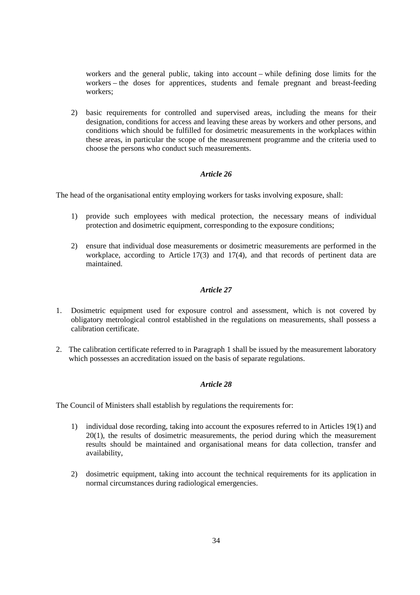workers and the general public, taking into account – while defining dose limits for the workers – the doses for apprentices, students and female pregnant and breast-feeding workers;

2) basic requirements for controlled and supervised areas, including the means for their designation, conditions for access and leaving these areas by workers and other persons, and conditions which should be fulfilled for dosimetric measurements in the workplaces within these areas, in particular the scope of the measurement programme and the criteria used to choose the persons who conduct such measurements.

## *Article 26*

The head of the organisational entity employing workers for tasks involving exposure, shall:

- 1) provide such employees with medical protection, the necessary means of individual protection and dosimetric equipment, corresponding to the exposure conditions;
- 2) ensure that individual dose measurements or dosimetric measurements are performed in the workplace, according to Article 17(3) and 17(4), and that records of pertinent data are maintained.

## *Article 27*

- 1. Dosimetric equipment used for exposure control and assessment, which is not covered by obligatory metrological control established in the regulations on measurements, shall possess a calibration certificate.
- 2. The calibration certificate referred to in Paragraph 1 shall be issued by the measurement laboratory which possesses an accreditation issued on the basis of separate regulations.

## *Article 28*

The Council of Ministers shall establish by regulations the requirements for:

- 1) individual dose recording, taking into account the exposures referred to in Articles 19(1) and 20(1), the results of dosimetric measurements, the period during which the measurement results should be maintained and organisational means for data collection, transfer and availability,
- 2) dosimetric equipment, taking into account the technical requirements for its application in normal circumstances during radiological emergencies.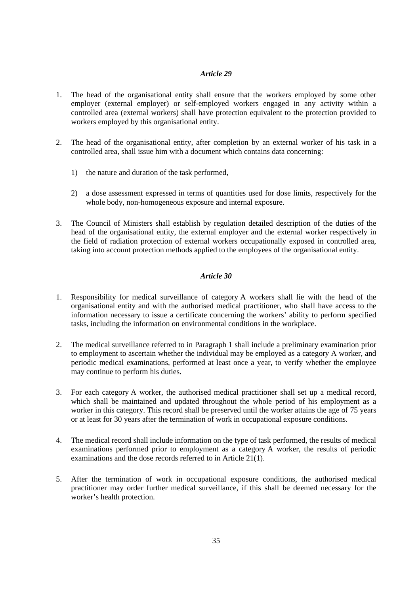- 1. The head of the organisational entity shall ensure that the workers employed by some other employer (external employer) or self-employed workers engaged in any activity within a controlled area (external workers) shall have protection equivalent to the protection provided to workers employed by this organisational entity.
- 2. The head of the organisational entity, after completion by an external worker of his task in a controlled area, shall issue him with a document which contains data concerning:
	- 1) the nature and duration of the task performed,
	- 2) a dose assessment expressed in terms of quantities used for dose limits, respectively for the whole body, non-homogeneous exposure and internal exposure.
- 3. The Council of Ministers shall establish by regulation detailed description of the duties of the head of the organisational entity, the external employer and the external worker respectively in the field of radiation protection of external workers occupationally exposed in controlled area, taking into account protection methods applied to the employees of the organisational entity.

- 1. Responsibility for medical surveillance of category A workers shall lie with the head of the organisational entity and with the authorised medical practitioner, who shall have access to the information necessary to issue a certificate concerning the workers' ability to perform specified tasks, including the information on environmental conditions in the workplace.
- 2. The medical surveillance referred to in Paragraph 1 shall include a preliminary examination prior to employment to ascertain whether the individual may be employed as a category A worker, and periodic medical examinations, performed at least once a year, to verify whether the employee may continue to perform his duties.
- 3. For each category A worker, the authorised medical practitioner shall set up a medical record, which shall be maintained and updated throughout the whole period of his employment as a worker in this category. This record shall be preserved until the worker attains the age of 75 years or at least for 30 years after the termination of work in occupational exposure conditions.
- 4. The medical record shall include information on the type of task performed, the results of medical examinations performed prior to employment as a category A worker, the results of periodic examinations and the dose records referred to in Article 21(1).
- 5. After the termination of work in occupational exposure conditions, the authorised medical practitioner may order further medical surveillance, if this shall be deemed necessary for the worker's health protection.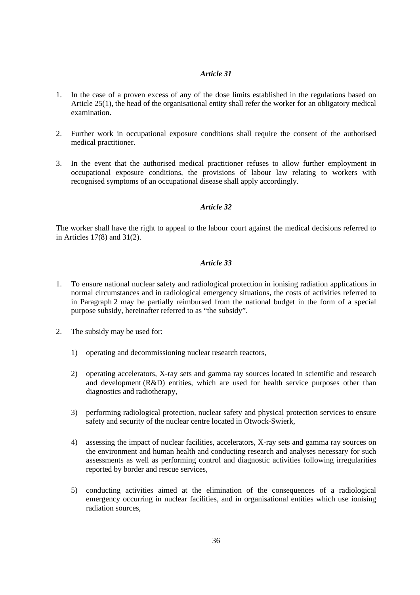- 1. In the case of a proven excess of any of the dose limits established in the regulations based on Article 25(1), the head of the organisational entity shall refer the worker for an obligatory medical examination.
- 2. Further work in occupational exposure conditions shall require the consent of the authorised medical practitioner.
- 3. In the event that the authorised medical practitioner refuses to allow further employment in occupational exposure conditions, the provisions of labour law relating to workers with recognised symptoms of an occupational disease shall apply accordingly.

### *Article 32*

The worker shall have the right to appeal to the labour court against the medical decisions referred to in Articles 17(8) and 31(2).

- 1. To ensure national nuclear safety and radiological protection in ionising radiation applications in normal circumstances and in radiological emergency situations, the costs of activities referred to in Paragraph 2 may be partially reimbursed from the national budget in the form of a special purpose subsidy, hereinafter referred to as "the subsidy".
- 2. The subsidy may be used for:
	- 1) operating and decommissioning nuclear research reactors,
	- 2) operating accelerators, X-ray sets and gamma ray sources located in scientific and research and development (R&D) entities, which are used for health service purposes other than diagnostics and radiotherapy,
	- 3) performing radiological protection, nuclear safety and physical protection services to ensure safety and security of the nuclear centre located in Otwock-Swierk,
	- 4) assessing the impact of nuclear facilities, accelerators, X-ray sets and gamma ray sources on the environment and human health and conducting research and analyses necessary for such assessments as well as performing control and diagnostic activities following irregularities reported by border and rescue services,
	- 5) conducting activities aimed at the elimination of the consequences of a radiological emergency occurring in nuclear facilities, and in organisational entities which use ionising radiation sources,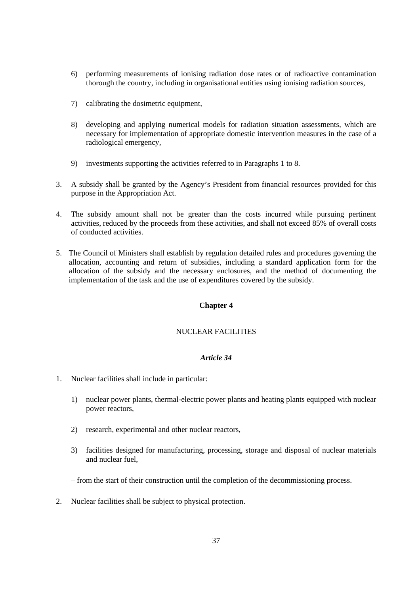- 6) performing measurements of ionising radiation dose rates or of radioactive contamination thorough the country, including in organisational entities using ionising radiation sources,
- 7) calibrating the dosimetric equipment,
- 8) developing and applying numerical models for radiation situation assessments, which are necessary for implementation of appropriate domestic intervention measures in the case of a radiological emergency,
- 9) investments supporting the activities referred to in Paragraphs 1 to 8.
- 3. A subsidy shall be granted by the Agency's President from financial resources provided for this purpose in the Appropriation Act.
- 4. The subsidy amount shall not be greater than the costs incurred while pursuing pertinent activities, reduced by the proceeds from these activities, and shall not exceed 85% of overall costs of conducted activities.
- 5. The Council of Ministers shall establish by regulation detailed rules and procedures governing the allocation, accounting and return of subsidies, including a standard application form for the allocation of the subsidy and the necessary enclosures, and the method of documenting the implementation of the task and the use of expenditures covered by the subsidy.

### **Chapter 4**

## NUCLEAR FACILITIES

- 1. Nuclear facilities shall include in particular:
	- 1) nuclear power plants, thermal-electric power plants and heating plants equipped with nuclear power reactors,
	- 2) research, experimental and other nuclear reactors,
	- 3) facilities designed for manufacturing, processing, storage and disposal of nuclear materials and nuclear fuel,
	- from the start of their construction until the completion of the decommissioning process.
- 2. Nuclear facilities shall be subject to physical protection.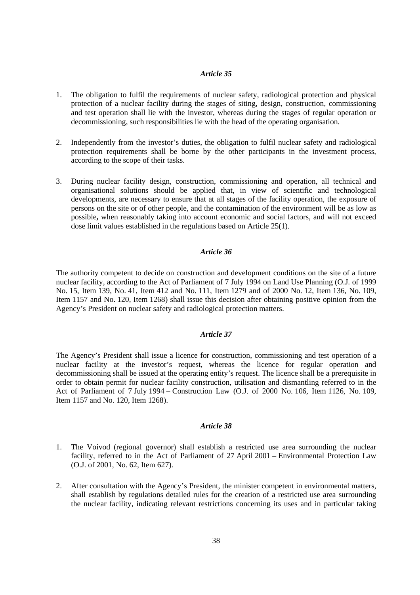- 1. The obligation to fulfil the requirements of nuclear safety, radiological protection and physical protection of a nuclear facility during the stages of siting, design, construction, commissioning and test operation shall lie with the investor, whereas during the stages of regular operation or decommissioning, such responsibilities lie with the head of the operating organisation.
- 2. Independently from the investor's duties, the obligation to fulfil nuclear safety and radiological protection requirements shall be borne by the other participants in the investment process, according to the scope of their tasks.
- 3. During nuclear facility design, construction, commissioning and operation, all technical and organisational solutions should be applied that, in view of scientific and technological developments, are necessary to ensure that at all stages of the facility operation, the exposure of persons on the site or of other people, and the contamination of the environment will be as low as possible**,** when reasonably taking into account economic and social factors, and will not exceed dose limit values established in the regulations based on Article 25(1).

### *Article 36*

The authority competent to decide on construction and development conditions on the site of a future nuclear facility, according to the Act of Parliament of 7 July 1994 on Land Use Planning (O.J. of 1999 No. 15, Item 139, No. 41, Item 412 and No. 111, Item 1279 and of 2000 No. 12, Item 136, No. 109, Item 1157 and No. 120, Item 1268) shall issue this decision after obtaining positive opinion from the Agency's President on nuclear safety and radiological protection matters.

#### *Article 37*

The Agency's President shall issue a licence for construction, commissioning and test operation of a nuclear facility at the investor's request, whereas the licence for regular operation and decommissioning shall be issued at the operating entity's request. The licence shall be a prerequisite in order to obtain permit for nuclear facility construction, utilisation and dismantling referred to in the Act of Parliament of 7 July 1994 – Construction Law (O.J. of 2000 No. 106, Item 1126, No. 109, Item 1157 and No. 120, Item 1268).

- 1. The Voivod (regional governor) shall establish a restricted use area surrounding the nuclear facility, referred to in the Act of Parliament of 27 April 2001 – Environmental Protection Law (O.J. of 2001, No. 62, Item 627).
- 2. After consultation with the Agency's President, the minister competent in environmental matters, shall establish by regulations detailed rules for the creation of a restricted use area surrounding the nuclear facility, indicating relevant restrictions concerning its uses and in particular taking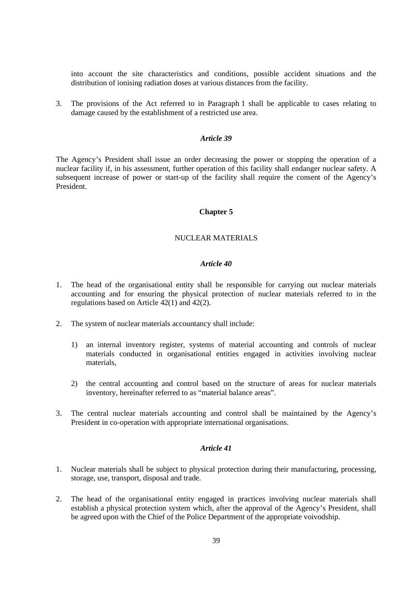into account the site characteristics and conditions, possible accident situations and the distribution of ionising radiation doses at various distances from the facility.

3. The provisions of the Act referred to in Paragraph 1 shall be applicable to cases relating to damage caused by the establishment of a restricted use area.

### *Article 39*

The Agency's President shall issue an order decreasing the power or stopping the operation of a nuclear facility if, in his assessment, further operation of this facility shall endanger nuclear safety. A subsequent increase of power or start-up of the facility shall require the consent of the Agency's President.

### **Chapter 5**

## NUCLEAR MATERIALS

#### *Article 40*

- 1. The head of the organisational entity shall be responsible for carrying out nuclear materials accounting and for ensuring the physical protection of nuclear materials referred to in the regulations based on Article 42(1) and 42(2).
- 2. The system of nuclear materials accountancy shall include:
	- 1) an internal inventory register, systems of material accounting and controls of nuclear materials conducted in organisational entities engaged in activities involving nuclear materials,
	- 2) the central accounting and control based on the structure of areas for nuclear materials inventory, hereinafter referred to as "material balance areas".
- 3. The central nuclear materials accounting and control shall be maintained by the Agency's President in co-operation with appropriate international organisations.

- 1. Nuclear materials shall be subject to physical protection during their manufacturing, processing, storage, use, transport, disposal and trade.
- 2. The head of the organisational entity engaged in practices involving nuclear materials shall establish a physical protection system which, after the approval of the Agency's President, shall be agreed upon with the Chief of the Police Department of the appropriate voivodship.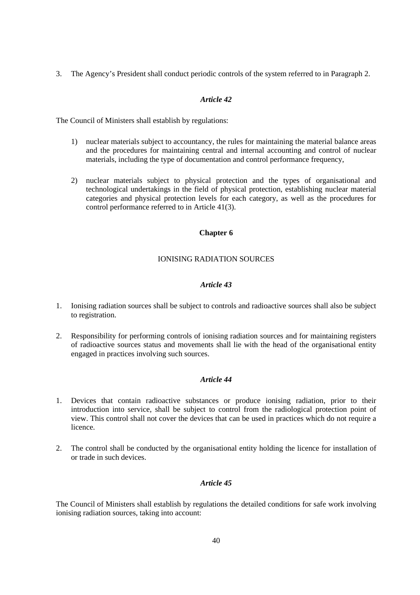3. The Agency's President shall conduct periodic controls of the system referred to in Paragraph 2.

## *Article 42*

The Council of Ministers shall establish by regulations:

- 1) nuclear materials subject to accountancy, the rules for maintaining the material balance areas and the procedures for maintaining central and internal accounting and control of nuclear materials, including the type of documentation and control performance frequency,
- 2) nuclear materials subject to physical protection and the types of organisational and technological undertakings in the field of physical protection, establishing nuclear material categories and physical protection levels for each category, as well as the procedures for control performance referred to in Article 41(3).

## **Chapter 6**

## IONISING RADIATION SOURCES

## *Article 43*

- 1. Ionising radiation sources shall be subject to controls and radioactive sources shall also be subject to registration.
- 2. Responsibility for performing controls of ionising radiation sources and for maintaining registers of radioactive sources status and movements shall lie with the head of the organisational entity engaged in practices involving such sources.

## *Article 44*

- 1. Devices that contain radioactive substances or produce ionising radiation, prior to their introduction into service, shall be subject to control from the radiological protection point of view. This control shall not cover the devices that can be used in practices which do not require a licence.
- 2. The control shall be conducted by the organisational entity holding the licence for installation of or trade in such devices.

## *Article 45*

The Council of Ministers shall establish by regulations the detailed conditions for safe work involving ionising radiation sources, taking into account: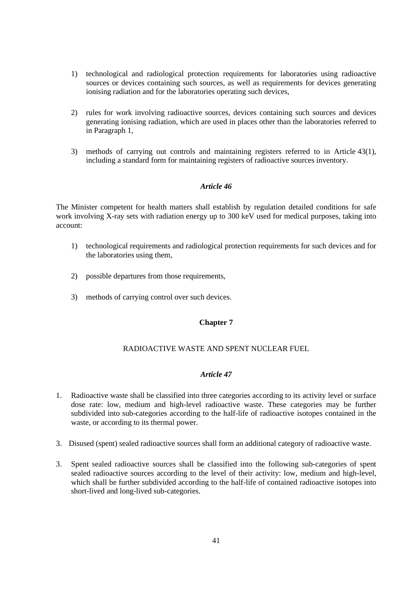- 1) technological and radiological protection requirements for laboratories using radioactive sources or devices containing such sources, as well as requirements for devices generating ionising radiation and for the laboratories operating such devices,
- 2) rules for work involving radioactive sources, devices containing such sources and devices generating ionising radiation, which are used in places other than the laboratories referred to in Paragraph 1,
- 3) methods of carrying out controls and maintaining registers referred to in Article 43(1), including a standard form for maintaining registers of radioactive sources inventory.

The Minister competent for health matters shall establish by regulation detailed conditions for safe work involving X-ray sets with radiation energy up to 300 keV used for medical purposes, taking into account:

- 1) technological requirements and radiological protection requirements for such devices and for the laboratories using them,
- 2) possible departures from those requirements,
- 3) methods of carrying control over such devices.

#### **Chapter 7**

## RADIOACTIVE WASTE AND SPENT NUCLEAR FUEL

- 1. Radioactive waste shall be classified into three categories according to its activity level or surface dose rate: low, medium and high-level radioactive waste. These categories may be further subdivided into sub-categories according to the half-life of radioactive isotopes contained in the waste, or according to its thermal power.
- 3. Disused (spent) sealed radioactive sources shall form an additional category of radioactive waste.
- 3. Spent sealed radioactive sources shall be classified into the following sub-categories of spent sealed radioactive sources according to the level of their activity: low, medium and high-level, which shall be further subdivided according to the half-life of contained radioactive isotopes into short-lived and long-lived sub-categories.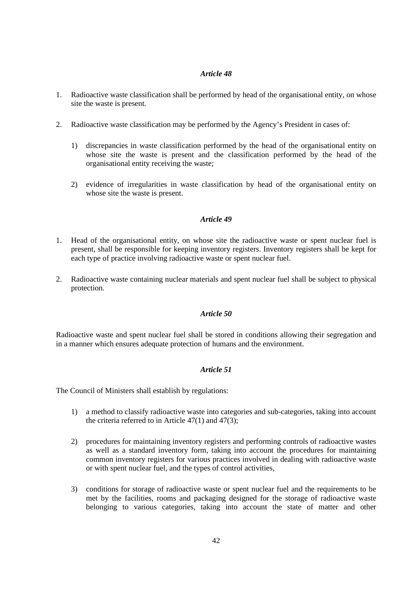- 1. Radioactive waste classification shall be performed by head of the organisational entity, on whose site the waste is present.
- 2. Radioactive waste classification may be performed by the Agency's President in cases of:
	- 1) discrepancies in waste classification performed by the head of the organisational entity on whose site the waste is present and the classification performed by the head of the organisational entity receiving the waste;
	- 2) evidence of irregularities in waste classification by head of the organisational entity on whose site the waste is present.

### *Article 49*

- 1. Head of the organisational entity, on whose site the radioactive waste or spent nuclear fuel is present, shall be responsible for keeping inventory registers. Inventory registers shall be kept for each type of practice involving radioactive waste or spent nuclear fuel.
- 2. Radioactive waste containing nuclear materials and spent nuclear fuel shall be subject to physical protection.

### *Article 50*

Radioactive waste and spent nuclear fuel shall be stored in conditions allowing their segregation and in a manner which ensures adequate protection of humans and the environment.

## *Article 51*

The Council of Ministers shall establish by regulations:

- 1) a method to classify radioactive waste into categories and sub-categories, taking into account the criteria referred to in Article 47(1) and 47(3);
- 2) procedures for maintaining inventory registers and performing controls of radioactive wastes as well as a standard inventory form, taking into account the procedures for maintaining common inventory registers for various practices involved in dealing with radioactive waste or with spent nuclear fuel, and the types of control activities,
- 3) conditions for storage of radioactive waste or spent nuclear fuel and the requirements to be met by the facilities, rooms and packaging designed for the storage of radioactive waste belonging to various categories, taking into account the state of matter and other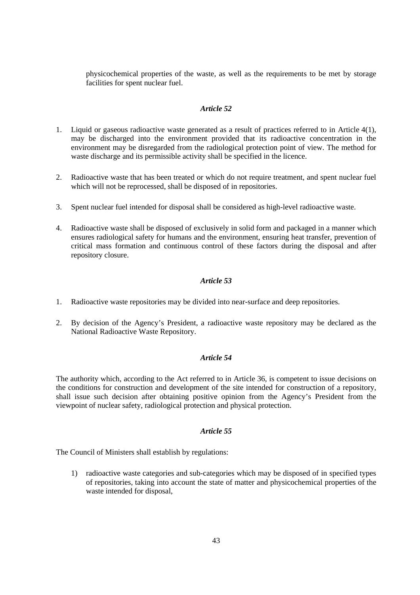physicochemical properties of the waste, as well as the requirements to be met by storage facilities for spent nuclear fuel.

### *Article 52*

- 1. Liquid or gaseous radioactive waste generated as a result of practices referred to in Article 4(1), may be discharged into the environment provided that its radioactive concentration in the environment may be disregarded from the radiological protection point of view. The method for waste discharge and its permissible activity shall be specified in the licence.
- 2. Radioactive waste that has been treated or which do not require treatment, and spent nuclear fuel which will not be reprocessed, shall be disposed of in repositories.
- 3. Spent nuclear fuel intended for disposal shall be considered as high-level radioactive waste.
- 4. Radioactive waste shall be disposed of exclusively in solid form and packaged in a manner which ensures radiological safety for humans and the environment, ensuring heat transfer, prevention of critical mass formation and continuous control of these factors during the disposal and after repository closure.

### *Article 53*

- 1. Radioactive waste repositories may be divided into near-surface and deep repositories.
- 2. By decision of the Agency's President, a radioactive waste repository may be declared as the National Radioactive Waste Repository.

## *Article 54*

The authority which, according to the Act referred to in Article 36, is competent to issue decisions on the conditions for construction and development of the site intended for construction of a repository, shall issue such decision after obtaining positive opinion from the Agency's President from the viewpoint of nuclear safety, radiological protection and physical protection.

### *Article 55*

The Council of Ministers shall establish by regulations:

1) radioactive waste categories and sub-categories which may be disposed of in specified types of repositories, taking into account the state of matter and physicochemical properties of the waste intended for disposal,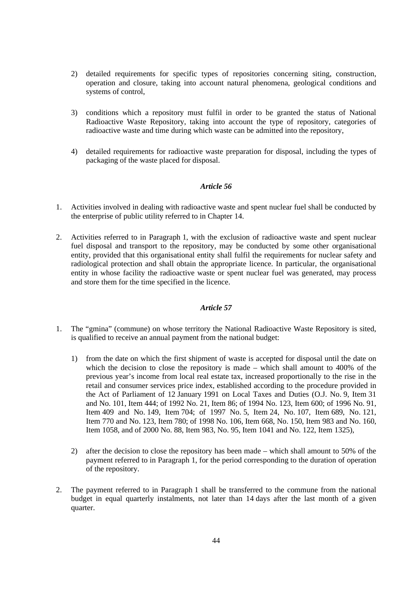- 2) detailed requirements for specific types of repositories concerning siting, construction, operation and closure, taking into account natural phenomena, geological conditions and systems of control,
- 3) conditions which a repository must fulfil in order to be granted the status of National Radioactive Waste Repository, taking into account the type of repository, categories of radioactive waste and time during which waste can be admitted into the repository,
- 4) detailed requirements for radioactive waste preparation for disposal, including the types of packaging of the waste placed for disposal.

- 1. Activities involved in dealing with radioactive waste and spent nuclear fuel shall be conducted by the enterprise of public utility referred to in Chapter 14.
- 2. Activities referred to in Paragraph 1, with the exclusion of radioactive waste and spent nuclear fuel disposal and transport to the repository, may be conducted by some other organisational entity, provided that this organisational entity shall fulfil the requirements for nuclear safety and radiological protection and shall obtain the appropriate licence. In particular, the organisational entity in whose facility the radioactive waste or spent nuclear fuel was generated, may process and store them for the time specified in the licence.

- 1. The "gmina" (commune) on whose territory the National Radioactive Waste Repository is sited, is qualified to receive an annual payment from the national budget:
	- 1) from the date on which the first shipment of waste is accepted for disposal until the date on which the decision to close the repository is made – which shall amount to 400% of the previous year's income from local real estate tax, increased proportionally to the rise in the retail and consumer services price index, established according to the procedure provided in the Act of Parliament of 12 January 1991 on Local Taxes and Duties (O.J. No. 9, Item 31 and No. 101, Item 444; of 1992 No. 21, Item 86; of 1994 No. 123, Item 600; of 1996 No. 91, Item 409 and No. 149, Item 704; of 1997 No. 5, Item 24, No. 107, Item 689, No. 121, Item 770 and No. 123, Item 780; of 1998 No. 106, Item 668, No. 150, Item 983 and No. 160, Item 1058, and of 2000 No. 88, Item 983, No. 95, Item 1041 and No. 122, Item 1325),
	- 2) after the decision to close the repository has been made which shall amount to 50% of the payment referred to in Paragraph 1, for the period corresponding to the duration of operation of the repository.
- 2. The payment referred to in Paragraph 1 shall be transferred to the commune from the national budget in equal quarterly instalments, not later than 14 days after the last month of a given quarter.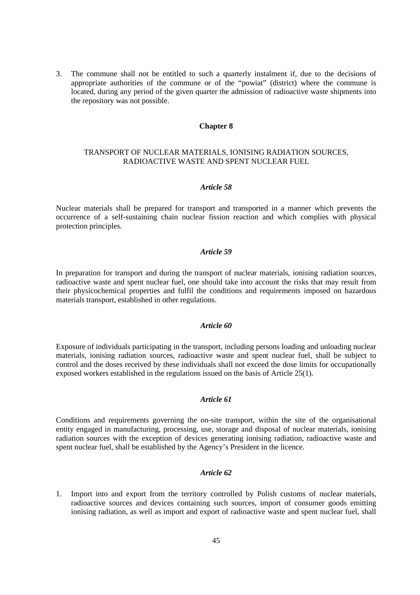3. The commune shall not be entitled to such a quarterly instalment if, due to the decisions of appropriate authorities of the commune or of the "powiat" (district) where the commune is located, during any period of the given quarter the admission of radioactive waste shipments into the repository was not possible.

#### **Chapter 8**

## TRANSPORT OF NUCLEAR MATERIALS, IONISING RADIATION SOURCES, RADIOACTIVE WASTE AND SPENT NUCLEAR FUEL

#### *Article 58*

Nuclear materials shall be prepared for transport and transported in a manner which prevents the occurrence of a self-sustaining chain nuclear fission reaction and which complies with physical protection principles.

### *Article 59*

In preparation for transport and during the transport of nuclear materials, ionising radiation sources, radioactive waste and spent nuclear fuel, one should take into account the risks that may result from their physicochemical properties and fulfil the conditions and requirements imposed on hazardous materials transport, established in other regulations.

#### *Article 60*

Exposure of individuals participating in the transport, including persons loading and unloading nuclear materials, ionising radiation sources, radioactive waste and spent nuclear fuel, shall be subject to control and the doses received by these individuals shall not exceed the dose limits for occupationally exposed workers established in the regulations issued on the basis of Article 25(1).

### *Article 61*

Conditions and requirements governing the on-site transport, within the site of the organisational entity engaged in manufacturing, processing, use, storage and disposal of nuclear materials, ionising radiation sources with the exception of devices generating ionising radiation, radioactive waste and spent nuclear fuel, shall be established by the Agency's President in the licence.

#### *Article 62*

1. Import into and export from the territory controlled by Polish customs of nuclear materials, radioactive sources and devices containing such sources, import of consumer goods emitting ionising radiation, as well as import and export of radioactive waste and spent nuclear fuel, shall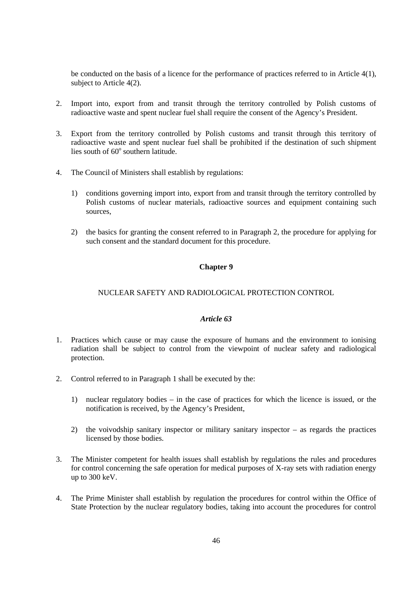be conducted on the basis of a licence for the performance of practices referred to in Article 4(1), subject to Article 4(2).

- 2. Import into, export from and transit through the territory controlled by Polish customs of radioactive waste and spent nuclear fuel shall require the consent of the Agency's President.
- 3. Export from the territory controlled by Polish customs and transit through this territory of radioactive waste and spent nuclear fuel shall be prohibited if the destination of such shipment lies south of 60° southern latitude.
- 4. The Council of Ministers shall establish by regulations:
	- 1) conditions governing import into, export from and transit through the territory controlled by Polish customs of nuclear materials, radioactive sources and equipment containing such sources,
	- 2) the basics for granting the consent referred to in Paragraph 2, the procedure for applying for such consent and the standard document for this procedure.

## **Chapter 9**

## NUCLEAR SAFETY AND RADIOLOGICAL PROTECTION CONTROL

- 1. Practices which cause or may cause the exposure of humans and the environment to ionising radiation shall be subject to control from the viewpoint of nuclear safety and radiological protection.
- 2. Control referred to in Paragraph 1 shall be executed by the:
	- 1) nuclear regulatory bodies in the case of practices for which the licence is issued, or the notification is received, by the Agency's President,
	- 2) the voivodship sanitary inspector or military sanitary inspector as regards the practices licensed by those bodies.
- 3. The Minister competent for health issues shall establish by regulations the rules and procedures for control concerning the safe operation for medical purposes of X-ray sets with radiation energy up to 300 keV.
- 4. The Prime Minister shall establish by regulation the procedures for control within the Office of State Protection by the nuclear regulatory bodies, taking into account the procedures for control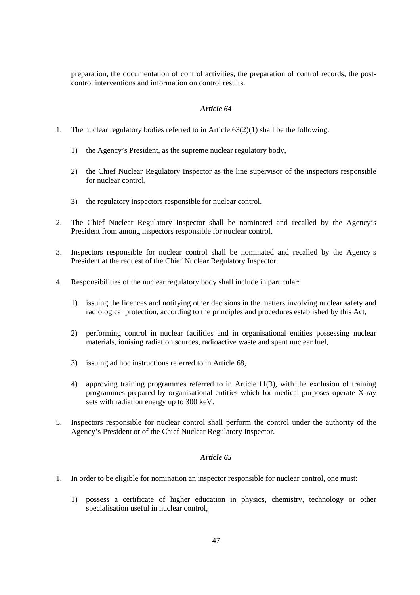preparation, the documentation of control activities, the preparation of control records, the postcontrol interventions and information on control results.

### *Article 64*

- 1. The nuclear regulatory bodies referred to in Article 63(2)(1) shall be the following:
	- 1) the Agency's President, as the supreme nuclear regulatory body,
	- 2) the Chief Nuclear Regulatory Inspector as the line supervisor of the inspectors responsible for nuclear control,
	- 3) the regulatory inspectors responsible for nuclear control.
- 2. The Chief Nuclear Regulatory Inspector shall be nominated and recalled by the Agency's President from among inspectors responsible for nuclear control.
- 3. Inspectors responsible for nuclear control shall be nominated and recalled by the Agency's President at the request of the Chief Nuclear Regulatory Inspector.
- 4. Responsibilities of the nuclear regulatory body shall include in particular:
	- 1) issuing the licences and notifying other decisions in the matters involving nuclear safety and radiological protection, according to the principles and procedures established by this Act,
	- 2) performing control in nuclear facilities and in organisational entities possessing nuclear materials, ionising radiation sources, radioactive waste and spent nuclear fuel,
	- 3) issuing ad hoc instructions referred to in Article 68,
	- 4) approving training programmes referred to in Article 11(3), with the exclusion of training programmes prepared by organisational entities which for medical purposes operate X-ray sets with radiation energy up to 300 keV.
- 5. Inspectors responsible for nuclear control shall perform the control under the authority of the Agency's President or of the Chief Nuclear Regulatory Inspector.

- 1. In order to be eligible for nomination an inspector responsible for nuclear control, one must:
	- 1) possess a certificate of higher education in physics, chemistry, technology or other specialisation useful in nuclear control,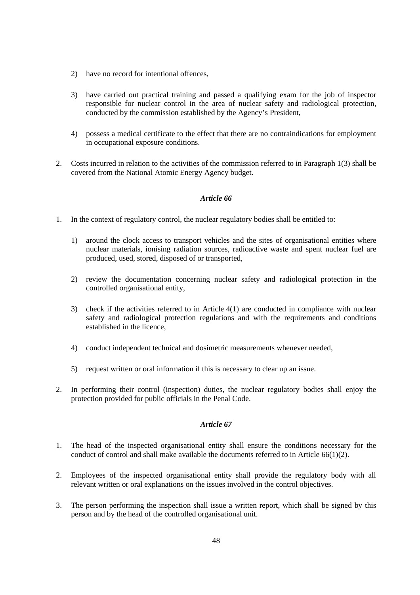- 2) have no record for intentional offences,
- 3) have carried out practical training and passed a qualifying exam for the job of inspector responsible for nuclear control in the area of nuclear safety and radiological protection, conducted by the commission established by the Agency's President,
- 4) possess a medical certificate to the effect that there are no contraindications for employment in occupational exposure conditions.
- 2. Costs incurred in relation to the activities of the commission referred to in Paragraph 1(3) shall be covered from the National Atomic Energy Agency budget.

- 1. In the context of regulatory control, the nuclear regulatory bodies shall be entitled to:
	- 1) around the clock access to transport vehicles and the sites of organisational entities where nuclear materials, ionising radiation sources, radioactive waste and spent nuclear fuel are produced, used, stored, disposed of or transported,
	- 2) review the documentation concerning nuclear safety and radiological protection in the controlled organisational entity,
	- 3) check if the activities referred to in Article 4(1) are conducted in compliance with nuclear safety and radiological protection regulations and with the requirements and conditions established in the licence,
	- 4) conduct independent technical and dosimetric measurements whenever needed,
	- 5) request written or oral information if this is necessary to clear up an issue.
- 2. In performing their control (inspection) duties, the nuclear regulatory bodies shall enjoy the protection provided for public officials in the Penal Code.

- 1. The head of the inspected organisational entity shall ensure the conditions necessary for the conduct of control and shall make available the documents referred to in Article  $66(1)(2)$ .
- 2. Employees of the inspected organisational entity shall provide the regulatory body with all relevant written or oral explanations on the issues involved in the control objectives.
- 3. The person performing the inspection shall issue a written report, which shall be signed by this person and by the head of the controlled organisational unit.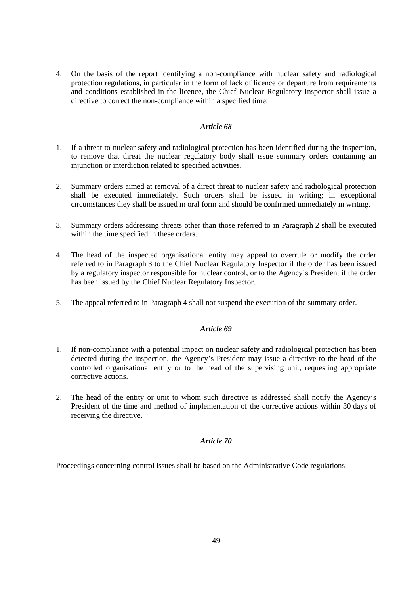4. On the basis of the report identifying a non-compliance with nuclear safety and radiological protection regulations, in particular in the form of lack of licence or departure from requirements and conditions established in the licence, the Chief Nuclear Regulatory Inspector shall issue a directive to correct the non-compliance within a specified time.

### *Article 68*

- 1. If a threat to nuclear safety and radiological protection has been identified during the inspection, to remove that threat the nuclear regulatory body shall issue summary orders containing an injunction or interdiction related to specified activities.
- 2. Summary orders aimed at removal of a direct threat to nuclear safety and radiological protection shall be executed immediately. Such orders shall be issued in writing; in exceptional circumstances they shall be issued in oral form and should be confirmed immediately in writing.
- 3. Summary orders addressing threats other than those referred to in Paragraph 2 shall be executed within the time specified in these orders.
- 4. The head of the inspected organisational entity may appeal to overrule or modify the order referred to in Paragraph 3 to the Chief Nuclear Regulatory Inspector if the order has been issued by a regulatory inspector responsible for nuclear control, or to the Agency's President if the order has been issued by the Chief Nuclear Regulatory Inspector.
- 5. The appeal referred to in Paragraph 4 shall not suspend the execution of the summary order.

## *Article 69*

- 1. If non-compliance with a potential impact on nuclear safety and radiological protection has been detected during the inspection, the Agency's President may issue a directive to the head of the controlled organisational entity or to the head of the supervising unit, requesting appropriate corrective actions.
- 2. The head of the entity or unit to whom such directive is addressed shall notify the Agency's President of the time and method of implementation of the corrective actions within 30 days of receiving the directive.

## *Article 70*

Proceedings concerning control issues shall be based on the Administrative Code regulations.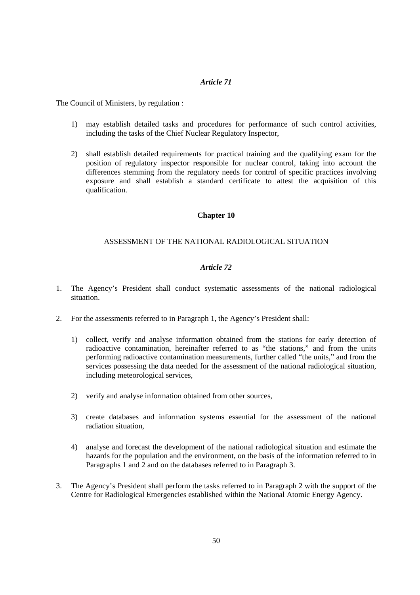The Council of Ministers, by regulation :

- 1) may establish detailed tasks and procedures for performance of such control activities, including the tasks of the Chief Nuclear Regulatory Inspector,
- 2) shall establish detailed requirements for practical training and the qualifying exam for the position of regulatory inspector responsible for nuclear control, taking into account the differences stemming from the regulatory needs for control of specific practices involving exposure and shall establish a standard certificate to attest the acquisition of this qualification.

### **Chapter 10**

### ASSESSMENT OF THE NATIONAL RADIOLOGICAL SITUATION

- 1. The Agency's President shall conduct systematic assessments of the national radiological situation.
- 2. For the assessments referred to in Paragraph 1, the Agency's President shall:
	- 1) collect, verify and analyse information obtained from the stations for early detection of radioactive contamination, hereinafter referred to as "the stations," and from the units performing radioactive contamination measurements, further called "the units," and from the services possessing the data needed for the assessment of the national radiological situation, including meteorological services,
	- 2) verify and analyse information obtained from other sources,
	- 3) create databases and information systems essential for the assessment of the national radiation situation,
	- 4) analyse and forecast the development of the national radiological situation and estimate the hazards for the population and the environment, on the basis of the information referred to in Paragraphs 1 and 2 and on the databases referred to in Paragraph 3.
- 3. The Agency's President shall perform the tasks referred to in Paragraph 2 with the support of the Centre for Radiological Emergencies established within the National Atomic Energy Agency.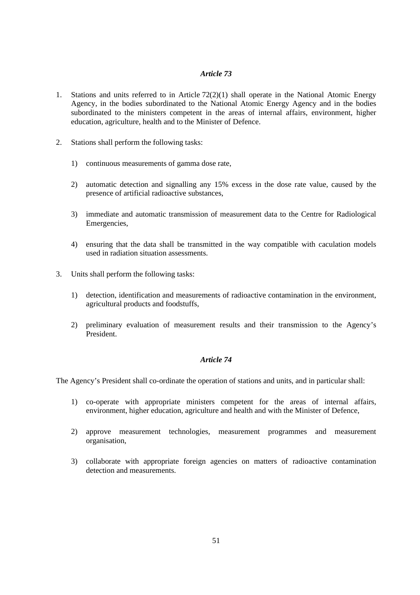- 1. Stations and units referred to in Article 72(2)(1) shall operate in the National Atomic Energy Agency, in the bodies subordinated to the National Atomic Energy Agency and in the bodies subordinated to the ministers competent in the areas of internal affairs, environment, higher education, agriculture, health and to the Minister of Defence.
- 2. Stations shall perform the following tasks:
	- 1) continuous measurements of gamma dose rate,
	- 2) automatic detection and signalling any 15% excess in the dose rate value, caused by the presence of artificial radioactive substances,
	- 3) immediate and automatic transmission of measurement data to the Centre for Radiological Emergencies,
	- 4) ensuring that the data shall be transmitted in the way compatible with caculation models used in radiation situation assessments.
- 3. Units shall perform the following tasks:
	- 1) detection, identification and measurements of radioactive contamination in the environment, agricultural products and foodstuffs,
	- 2) preliminary evaluation of measurement results and their transmission to the Agency's President.

## *Article 74*

The Agency's President shall co-ordinate the operation of stations and units, and in particular shall:

- 1) co-operate with appropriate ministers competent for the areas of internal affairs, environment, higher education, agriculture and health and with the Minister of Defence,
- 2) approve measurement technologies, measurement programmes and measurement organisation,
- 3) collaborate with appropriate foreign agencies on matters of radioactive contamination detection and measurements.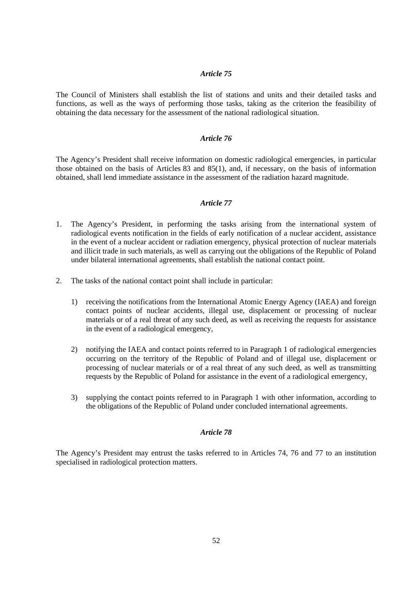The Council of Ministers shall establish the list of stations and units and their detailed tasks and functions, as well as the ways of performing those tasks, taking as the criterion the feasibility of obtaining the data necessary for the assessment of the national radiological situation.

#### *Article 76*

The Agency's President shall receive information on domestic radiological emergencies, in particular those obtained on the basis of Articles 83 and 85(1), and, if necessary, on the basis of information obtained, shall lend immediate assistance in the assessment of the radiation hazard magnitude.

#### *Article 77*

- 1. The Agency's President, in performing the tasks arising from the international system of radiological events notification in the fields of early notification of a nuclear accident, assistance in the event of a nuclear accident or radiation emergency, physical protection of nuclear materials and illicit trade in such materials, as well as carrying out the obligations of the Republic of Poland under bilateral international agreements, shall establish the national contact point.
- 2. The tasks of the national contact point shall include in particular:
	- 1) receiving the notifications from the International Atomic Energy Agency (IAEA) and foreign contact points of nuclear accidents, illegal use, displacement or processing of nuclear materials or of a real threat of any such deed, as well as receiving the requests for assistance in the event of a radiological emergency,
	- 2) notifying the IAEA and contact points referred to in Paragraph 1 of radiological emergencies occurring on the territory of the Republic of Poland and of illegal use, displacement or processing of nuclear materials or of a real threat of any such deed, as well as transmitting requests by the Republic of Poland for assistance in the event of a radiological emergency,
	- 3) supplying the contact points referred to in Paragraph 1 with other information, according to the obligations of the Republic of Poland under concluded international agreements.

## *Article 78*

The Agency's President may entrust the tasks referred to in Articles 74, 76 and 77 to an institution specialised in radiological protection matters.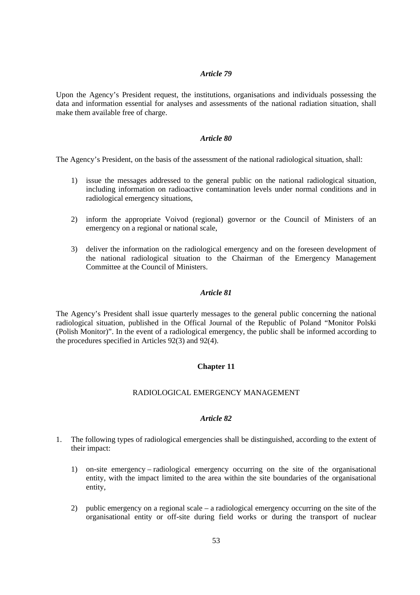Upon the Agency's President request, the institutions, organisations and individuals possessing the data and information essential for analyses and assessments of the national radiation situation, shall make them available free of charge.

### *Article 80*

The Agency's President, on the basis of the assessment of the national radiological situation, shall:

- 1) issue the messages addressed to the general public on the national radiological situation, including information on radioactive contamination levels under normal conditions and in radiological emergency situations,
- 2) inform the appropriate Voivod (regional) governor or the Council of Ministers of an emergency on a regional or national scale,
- 3) deliver the information on the radiological emergency and on the foreseen development of the national radiological situation to the Chairman of the Emergency Management Committee at the Council of Ministers.

### *Article 81*

The Agency's President shall issue quarterly messages to the general public concerning the national radiological situation, published in the Offical Journal of the Republic of Poland "Monitor Polski (Polish Monitor)". In the event of a radiological emergency, the public shall be informed according to the procedures specified in Articles 92(3) and 92(4).

## **Chapter 11**

## RADIOLOGICAL EMERGENCY MANAGEMENT

- 1. The following types of radiological emergencies shall be distinguished, according to the extent of their impact:
	- 1) on-site emergency radiological emergency occurring on the site of the organisational entity, with the impact limited to the area within the site boundaries of the organisational entity,
	- 2) public emergency on a regional scale a radiological emergency occurring on the site of the organisational entity or off-site during field works or during the transport of nuclear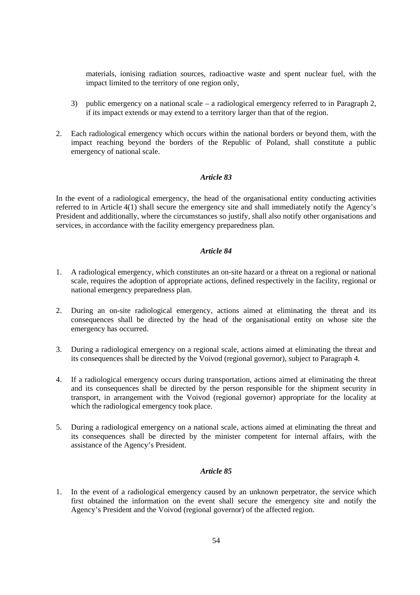materials, ionising radiation sources, radioactive waste and spent nuclear fuel, with the impact limited to the territory of one region only,

- 3) public emergency on a national scale a radiological emergency referred to in Paragraph 2, if its impact extends or may extend to a territory larger than that of the region.
- 2. Each radiological emergency which occurs within the national borders or beyond them, with the impact reaching beyond the borders of the Republic of Poland, shall constitute a public emergency of national scale.

## *Article 83*

In the event of a radiological emergency, the head of the organisational entity conducting activities referred to in Article 4(1) shall secure the emergency site and shall immediately notify the Agency's President and additionally, where the circumstances so justify, shall also notify other organisations and services, in accordance with the facility emergency preparedness plan.

## *Article 84*

- 1. A radiological emergency, which constitutes an on-site hazard or a threat on a regional or national scale, requires the adoption of appropriate actions, defined respectively in the facility, regional or national emergency preparedness plan.
- 2. During an on-site radiological emergency, actions aimed at eliminating the threat and its consequences shall be directed by the head of the organisational entity on whose site the emergency has occurred.
- 3. During a radiological emergency on a regional scale, actions aimed at eliminating the threat and its consequences shall be directed by the Voivod (regional governor), subject to Paragraph 4.
- 4. If a radiological emergency occurs during transportation, actions aimed at eliminating the threat and its consequences shall be directed by the person responsible for the shipment security in transport, in arrangement with the Voivod (regional governor) appropriate for the locality at which the radiological emergency took place.
- 5. During a radiological emergency on a national scale, actions aimed at eliminating the threat and its consequences shall be directed by the minister competent for internal affairs, with the assistance of the Agency's President.

### *Article 85*

1. In the event of a radiological emergency caused by an unknown perpetrator, the service which first obtained the information on the event shall secure the emergency site and notify the Agency's President and the Voivod (regional governor) of the affected region.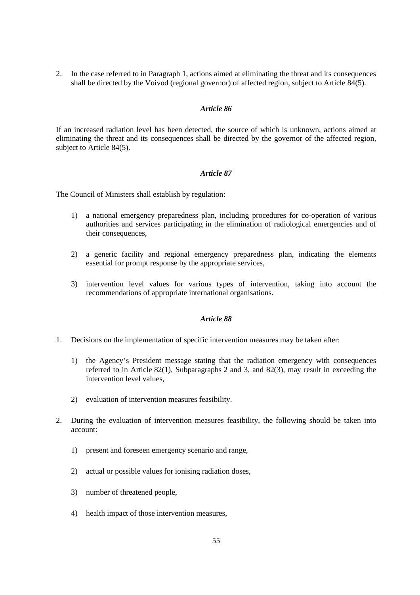2. In the case referred to in Paragraph 1, actions aimed at eliminating the threat and its consequences shall be directed by the Voivod (regional governor) of affected region, subject to Article  $84(5)$ .

### *Article 86*

If an increased radiation level has been detected, the source of which is unknown, actions aimed at eliminating the threat and its consequences shall be directed by the governor of the affected region, subject to Article 84(5).

### *Article 87*

The Council of Ministers shall establish by regulation:

- 1) a national emergency preparedness plan, including procedures for co-operation of various authorities and services participating in the elimination of radiological emergencies and of their consequences,
- 2) a generic facility and regional emergency preparedness plan, indicating the elements essential for prompt response by the appropriate services,
- 3) intervention level values for various types of intervention, taking into account the recommendations of appropriate international organisations.

- 1. Decisions on the implementation of specific intervention measures may be taken after:
	- 1) the Agency's President message stating that the radiation emergency with consequences referred to in Article 82(1), Subparagraphs 2 and 3, and 82(3), may result in exceeding the intervention level values,
	- 2) evaluation of intervention measures feasibility.
- 2. During the evaluation of intervention measures feasibility, the following should be taken into account:
	- 1) present and foreseen emergency scenario and range,
	- 2) actual or possible values for ionising radiation doses,
	- 3) number of threatened people,
	- 4) health impact of those intervention measures,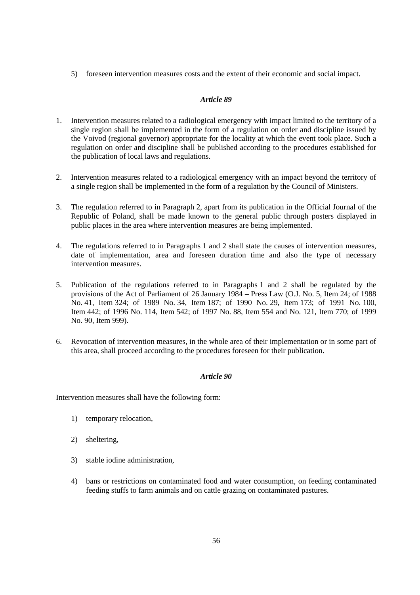5) foreseen intervention measures costs and the extent of their economic and social impact.

## *Article 89*

- 1. Intervention measures related to a radiological emergency with impact limited to the territory of a single region shall be implemented in the form of a regulation on order and discipline issued by the Voivod (regional governor) appropriate for the locality at which the event took place. Such a regulation on order and discipline shall be published according to the procedures established for the publication of local laws and regulations.
- 2. Intervention measures related to a radiological emergency with an impact beyond the territory of a single region shall be implemented in the form of a regulation by the Council of Ministers.
- 3. The regulation referred to in Paragraph 2, apart from its publication in the Official Journal of the Republic of Poland, shall be made known to the general public through posters displayed in public places in the area where intervention measures are being implemented.
- 4. The regulations referred to in Paragraphs 1 and 2 shall state the causes of intervention measures, date of implementation, area and foreseen duration time and also the type of necessary intervention measures.
- 5. Publication of the regulations referred to in Paragraphs 1 and 2 shall be regulated by the provisions of the Act of Parliament of 26 January 1984 – Press Law (O.J. No. 5, Item 24; of 1988 No. 41, Item 324; of 1989 No. 34, Item 187; of 1990 No. 29, Item 173; of 1991 No. 100, Item 442; of 1996 No. 114, Item 542; of 1997 No. 88, Item 554 and No. 121, Item 770; of 1999 No. 90, Item 999).
- 6. Revocation of intervention measures, in the whole area of their implementation or in some part of this area, shall proceed according to the procedures foreseen for their publication.

## *Article 90*

Intervention measures shall have the following form:

- 1) temporary relocation,
- 2) sheltering,
- 3) stable iodine administration,
- 4) bans or restrictions on contaminated food and water consumption, on feeding contaminated feeding stuffs to farm animals and on cattle grazing on contaminated pastures.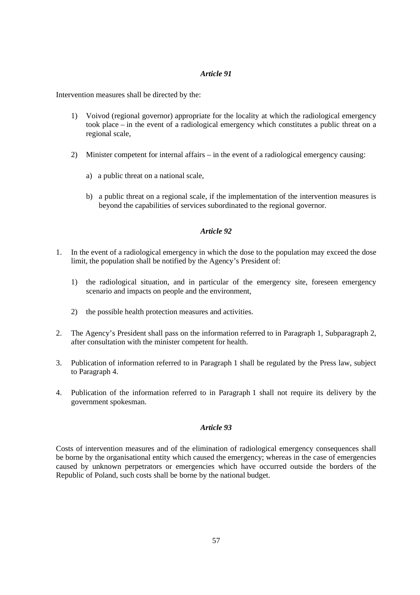Intervention measures shall be directed by the:

- 1) Voivod (regional governor) appropriate for the locality at which the radiological emergency took place – in the event of a radiological emergency which constitutes a public threat on a regional scale,
- 2) Minister competent for internal affairs in the event of a radiological emergency causing:
	- a) a public threat on a national scale,
	- b) a public threat on a regional scale, if the implementation of the intervention measures is beyond the capabilities of services subordinated to the regional governor.

## *Article 92*

- 1. In the event of a radiological emergency in which the dose to the population may exceed the dose limit, the population shall be notified by the Agency's President of:
	- 1) the radiological situation, and in particular of the emergency site, foreseen emergency scenario and impacts on people and the environment,
	- 2) the possible health protection measures and activities.
- 2. The Agency's President shall pass on the information referred to in Paragraph 1, Subparagraph 2, after consultation with the minister competent for health.
- 3. Publication of information referred to in Paragraph 1 shall be regulated by the Press law, subject to Paragraph 4.
- 4. Publication of the information referred to in Paragraph 1 shall not require its delivery by the government spokesman.

## *Article 93*

Costs of intervention measures and of the elimination of radiological emergency consequences shall be borne by the organisational entity which caused the emergency; whereas in the case of emergencies caused by unknown perpetrators or emergencies which have occurred outside the borders of the Republic of Poland, such costs shall be borne by the national budget.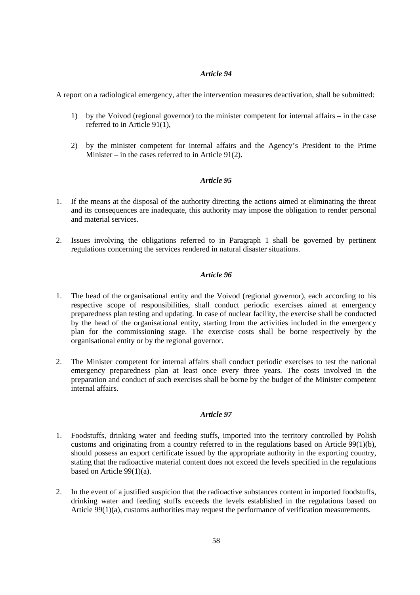A report on a radiological emergency, after the intervention measures deactivation, shall be submitted:

- 1) by the Voivod (regional governor) to the minister competent for internal affairs in the case referred to in Article 91(1),
- 2) by the minister competent for internal affairs and the Agency's President to the Prime Minister – in the cases referred to in Article 91(2).

## *Article 95*

- 1. If the means at the disposal of the authority directing the actions aimed at eliminating the threat and its consequences are inadequate, this authority may impose the obligation to render personal and material services.
- 2. Issues involving the obligations referred to in Paragraph 1 shall be governed by pertinent regulations concerning the services rendered in natural disaster situations.

## *Article 96*

- 1. The head of the organisational entity and the Voivod (regional governor), each according to his respective scope of responsibilities, shall conduct periodic exercises aimed at emergency preparedness plan testing and updating. In case of nuclear facility, the exercise shall be conducted by the head of the organisational entity, starting from the activities included in the emergency plan for the commissioning stage. The exercise costs shall be borne respectively by the organisational entity or by the regional governor.
- 2. The Minister competent for internal affairs shall conduct periodic exercises to test the national emergency preparedness plan at least once every three years. The costs involved in the preparation and conduct of such exercises shall be borne by the budget of the Minister competent internal affairs.

- 1. Foodstuffs, drinking water and feeding stuffs, imported into the territory controlled by Polish customs and originating from a country referred to in the regulations based on Article 99(1)(b), should possess an export certificate issued by the appropriate authority in the exporting country, stating that the radioactive material content does not exceed the levels specified in the regulations based on Article 99(1)(a).
- 2. In the event of a justified suspicion that the radioactive substances content in imported foodstuffs, drinking water and feeding stuffs exceeds the levels established in the regulations based on Article 99(1)(a), customs authorities may request the performance of verification measurements.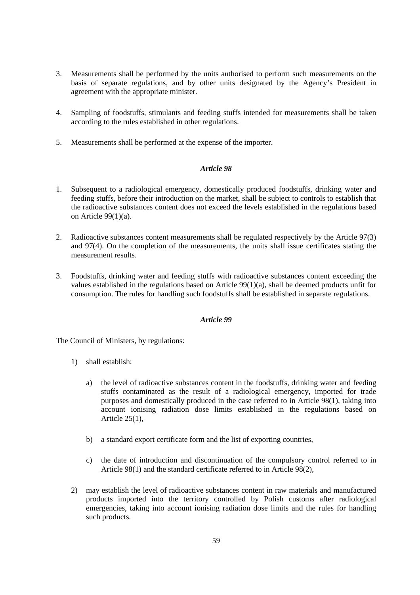- 3. Measurements shall be performed by the units authorised to perform such measurements on the basis of separate regulations, and by other units designated by the Agency's President in agreement with the appropriate minister.
- 4. Sampling of foodstuffs, stimulants and feeding stuffs intended for measurements shall be taken according to the rules established in other regulations.
- 5. Measurements shall be performed at the expense of the importer.

- 1. Subsequent to a radiological emergency, domestically produced foodstuffs, drinking water and feeding stuffs, before their introduction on the market, shall be subject to controls to establish that the radioactive substances content does not exceed the levels established in the regulations based on Article 99(1)(a).
- 2. Radioactive substances content measurements shall be regulated respectively by the Article 97(3) and 97(4). On the completion of the measurements, the units shall issue certificates stating the measurement results.
- 3. Foodstuffs, drinking water and feeding stuffs with radioactive substances content exceeding the values established in the regulations based on Article 99(1)(a), shall be deemed products unfit for consumption. The rules for handling such foodstuffs shall be established in separate regulations.

## *Article 99*

The Council of Ministers, by regulations:

- 1) shall establish:
	- a) the level of radioactive substances content in the foodstuffs, drinking water and feeding stuffs contaminated as the result of a radiological emergency, imported for trade purposes and domestically produced in the case referred to in Article 98(1), taking into account ionising radiation dose limits established in the regulations based on Article 25(1),
	- b) a standard export certificate form and the list of exporting countries,
	- c) the date of introduction and discontinuation of the compulsory control referred to in Article 98(1) and the standard certificate referred to in Article 98(2),
- 2) may establish the level of radioactive substances content in raw materials and manufactured products imported into the territory controlled by Polish customs after radiological emergencies, taking into account ionising radiation dose limits and the rules for handling such products.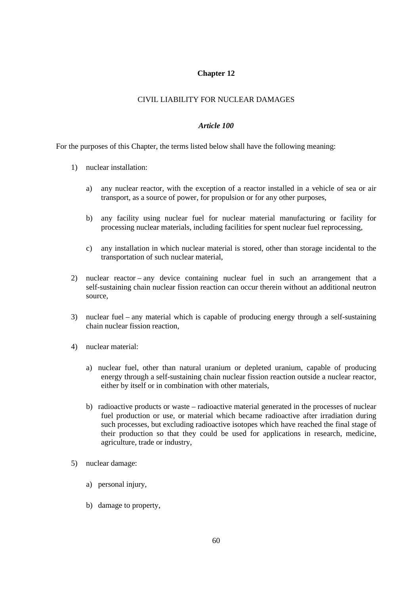## **Chapter 12**

### CIVIL LIABILITY FOR NUCLEAR DAMAGES

#### *Article 100*

For the purposes of this Chapter, the terms listed below shall have the following meaning:

- 1) nuclear installation:
	- a) any nuclear reactor, with the exception of a reactor installed in a vehicle of sea or air transport, as a source of power, for propulsion or for any other purposes,
	- b) any facility using nuclear fuel for nuclear material manufacturing or facility for processing nuclear materials, including facilities for spent nuclear fuel reprocessing,
	- c) any installation in which nuclear material is stored, other than storage incidental to the transportation of such nuclear material,
- 2) nuclear reactor any device containing nuclear fuel in such an arrangement that a self-sustaining chain nuclear fission reaction can occur therein without an additional neutron source,
- 3) nuclear fuel any material which is capable of producing energy through a self-sustaining chain nuclear fission reaction,
- 4) nuclear material:
	- a) nuclear fuel, other than natural uranium or depleted uranium, capable of producing energy through a self-sustaining chain nuclear fission reaction outside a nuclear reactor, either by itself or in combination with other materials,
	- b) radioactive products or waste radioactive material generated in the processes of nuclear fuel production or use, or material which became radioactive after irradiation during such processes, but excluding radioactive isotopes which have reached the final stage of their production so that they could be used for applications in research, medicine, agriculture, trade or industry,
- 5) nuclear damage:
	- a) personal injury,
	- b) damage to property,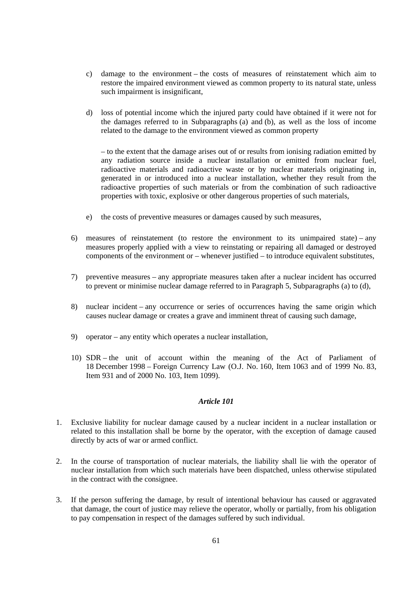- c) damage to the environment the costs of measures of reinstatement which aim to restore the impaired environment viewed as common property to its natural state, unless such impairment is insignificant,
- d) loss of potential income which the injured party could have obtained if it were not for the damages referred to in Subparagraphs (a) and (b), as well as the loss of income related to the damage to the environment viewed as common property

– to the extent that the damage arises out of or results from ionising radiation emitted by any radiation source inside a nuclear installation or emitted from nuclear fuel, radioactive materials and radioactive waste or by nuclear materials originating in, generated in or introduced into a nuclear installation, whether they result from the radioactive properties of such materials or from the combination of such radioactive properties with toxic, explosive or other dangerous properties of such materials,

- e) the costs of preventive measures or damages caused by such measures,
- 6) measures of reinstatement (to restore the environment to its unimpaired state) any measures properly applied with a view to reinstating or repairing all damaged or destroyed components of the environment or – whenever justified – to introduce equivalent substitutes,
- 7) preventive measures any appropriate measures taken after a nuclear incident has occurred to prevent or minimise nuclear damage referred to in Paragraph 5, Subparagraphs (a) to (d),
- 8) nuclear incident any occurrence or series of occurrences having the same origin which causes nuclear damage or creates a grave and imminent threat of causing such damage,
- 9) operator any entity which operates a nuclear installation,
- 10) SDR the unit of account within the meaning of the Act of Parliament of 18 December 1998 – Foreign Currency Law (O.J. No. 160, Item 1063 and of 1999 No. 83, Item 931 and of 2000 No. 103, Item 1099).

- 1. Exclusive liability for nuclear damage caused by a nuclear incident in a nuclear installation or related to this installation shall be borne by the operator, with the exception of damage caused directly by acts of war or armed conflict.
- 2. In the course of transportation of nuclear materials, the liability shall lie with the operator of nuclear installation from which such materials have been dispatched, unless otherwise stipulated in the contract with the consignee.
- 3. If the person suffering the damage, by result of intentional behaviour has caused or aggravated that damage, the court of justice may relieve the operator, wholly or partially, from his obligation to pay compensation in respect of the damages suffered by such individual.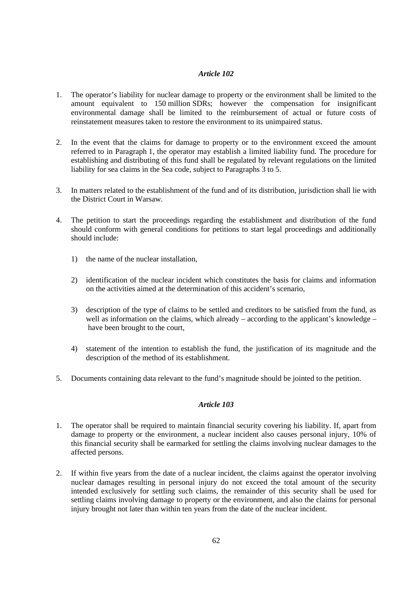- 1. The operator's liability for nuclear damage to property or the environment shall be limited to the amount equivalent to 150 million SDRs; however the compensation for insignificant environmental damage shall be limited to the reimbursement of actual or future costs of reinstatement measures taken to restore the environment to its unimpaired status.
- 2. In the event that the claims for damage to property or to the environment exceed the amount referred to in Paragraph 1, the operator may establish a limited liability fund. The procedure for establishing and distributing of this fund shall be regulated by relevant regulations on the limited liability for sea claims in the Sea code, subject to Paragraphs 3 to 5.
- 3. In matters related to the establishment of the fund and of its distribution, jurisdiction shall lie with the District Court in Warsaw.
- 4. The petition to start the proceedings regarding the establishment and distribution of the fund should conform with general conditions for petitions to start legal proceedings and additionally should include:
	- 1) the name of the nuclear installation,
	- 2) identification of the nuclear incident which constitutes the basis for claims and information on the activities aimed at the determination of this accident's scenario,
	- 3) description of the type of claims to be settled and creditors to be satisfied from the fund, as well as information on the claims, which already – according to the applicant's knowledge – have been brought to the court,
	- 4) statement of the intention to establish the fund, the justification of its magnitude and the description of the method of its establishment.
- 5. Documents containing data relevant to the fund's magnitude should be jointed to the petition.

- 1. The operator shall be required to maintain financial security covering his liability. If, apart from damage to property or the environment, a nuclear incident also causes personal injury, 10% of this financial security shall be earmarked for settling the claims involving nuclear damages to the affected persons.
- 2. If within five years from the date of a nuclear incident, the claims against the operator involving nuclear damages resulting in personal injury do not exceed the total amount of the security intended exclusively for settling such claims, the remainder of this security shall be used for settling claims involving damage to property or the environment, and also the claims for personal injury brought not later than within ten years from the date of the nuclear incident.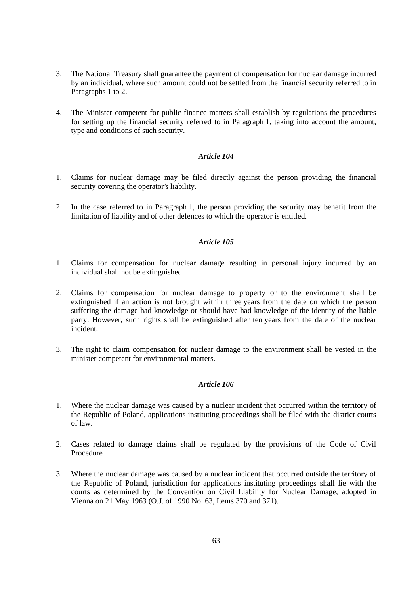- 3. The National Treasury shall guarantee the payment of compensation for nuclear damage incurred by an individual, where such amount could not be settled from the financial security referred to in Paragraphs 1 to 2.
- 4. The Minister competent for public finance matters shall establish by regulations the procedures for setting up the financial security referred to in Paragraph 1, taking into account the amount, type and conditions of such security.

- 1. Claims for nuclear damage may be filed directly against the person providing the financial security covering the operator's liability.
- 2. In the case referred to in Paragraph 1, the person providing the security may benefit from the limitation of liability and of other defences to which the operator is entitled.

### *Article 105*

- 1. Claims for compensation for nuclear damage resulting in personal injury incurred by an individual shall not be extinguished.
- 2. Claims for compensation for nuclear damage to property or to the environment shall be extinguished if an action is not brought within three years from the date on which the person suffering the damage had knowledge or should have had knowledge of the identity of the liable party. However, such rights shall be extinguished after ten years from the date of the nuclear incident.
- 3. The right to claim compensation for nuclear damage to the environment shall be vested in the minister competent for environmental matters.

- 1. Where the nuclear damage was caused by a nuclear incident that occurred within the territory of the Republic of Poland, applications instituting proceedings shall be filed with the district courts of law.
- 2. Cases related to damage claims shall be regulated by the provisions of the Code of Civil Procedure
- 3. Where the nuclear damage was caused by a nuclear incident that occurred outside the territory of the Republic of Poland, jurisdiction for applications instituting proceedings shall lie with the courts as determined by the Convention on Civil Liability for Nuclear Damage, adopted in Vienna on 21 May 1963 (O.J. of 1990 No. 63, Items 370 and 371).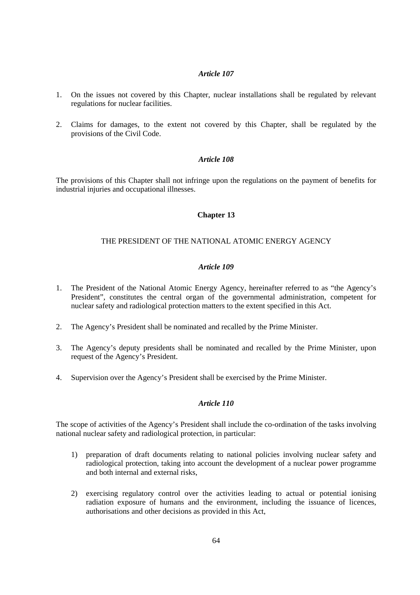- 1. On the issues not covered by this Chapter, nuclear installations shall be regulated by relevant regulations for nuclear facilities.
- 2. Claims for damages, to the extent not covered by this Chapter, shall be regulated by the provisions of the Civil Code.

### *Article 108*

The provisions of this Chapter shall not infringe upon the regulations on the payment of benefits for industrial injuries and occupational illnesses.

### **Chapter 13**

## THE PRESIDENT OF THE NATIONAL ATOMIC ENERGY AGENCY

## *Article 109*

- 1. The President of the National Atomic Energy Agency, hereinafter referred to as "the Agency's President", constitutes the central organ of the governmental administration, competent for nuclear safety and radiological protection matters to the extent specified in this Act.
- 2. The Agency's President shall be nominated and recalled by the Prime Minister.
- 3. The Agency's deputy presidents shall be nominated and recalled by the Prime Minister, upon request of the Agency's President.
- 4. Supervision over the Agency's President shall be exercised by the Prime Minister.

## *Article 110*

The scope of activities of the Agency's President shall include the co-ordination of the tasks involving national nuclear safety and radiological protection, in particular:

- 1) preparation of draft documents relating to national policies involving nuclear safety and radiological protection, taking into account the development of a nuclear power programme and both internal and external risks,
- 2) exercising regulatory control over the activities leading to actual or potential ionising radiation exposure of humans and the environment, including the issuance of licences, authorisations and other decisions as provided in this Act,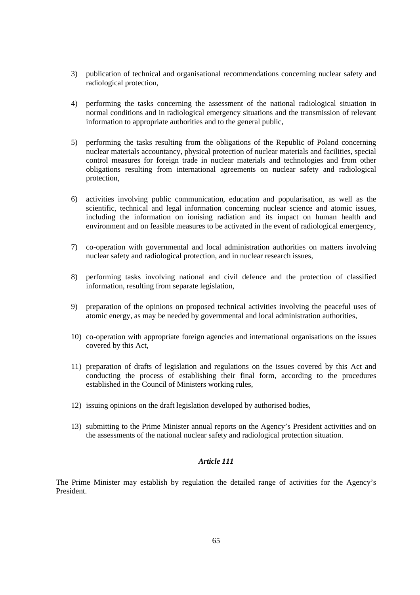- 3) publication of technical and organisational recommendations concerning nuclear safety and radiological protection,
- 4) performing the tasks concerning the assessment of the national radiological situation in normal conditions and in radiological emergency situations and the transmission of relevant information to appropriate authorities and to the general public,
- 5) performing the tasks resulting from the obligations of the Republic of Poland concerning nuclear materials accountancy, physical protection of nuclear materials and facilities, special control measures for foreign trade in nuclear materials and technologies and from other obligations resulting from international agreements on nuclear safety and radiological protection,
- 6) activities involving public communication, education and popularisation, as well as the scientific, technical and legal information concerning nuclear science and atomic issues, including the information on ionising radiation and its impact on human health and environment and on feasible measures to be activated in the event of radiological emergency,
- 7) co-operation with governmental and local administration authorities on matters involving nuclear safety and radiological protection, and in nuclear research issues,
- 8) performing tasks involving national and civil defence and the protection of classified information, resulting from separate legislation,
- 9) preparation of the opinions on proposed technical activities involving the peaceful uses of atomic energy, as may be needed by governmental and local administration authorities,
- 10) co-operation with appropriate foreign agencies and international organisations on the issues covered by this Act,
- 11) preparation of drafts of legislation and regulations on the issues covered by this Act and conducting the process of establishing their final form, according to the procedures established in the Council of Ministers working rules,
- 12) issuing opinions on the draft legislation developed by authorised bodies,
- 13) submitting to the Prime Minister annual reports on the Agency's President activities and on the assessments of the national nuclear safety and radiological protection situation.

The Prime Minister may establish by regulation the detailed range of activities for the Agency's President.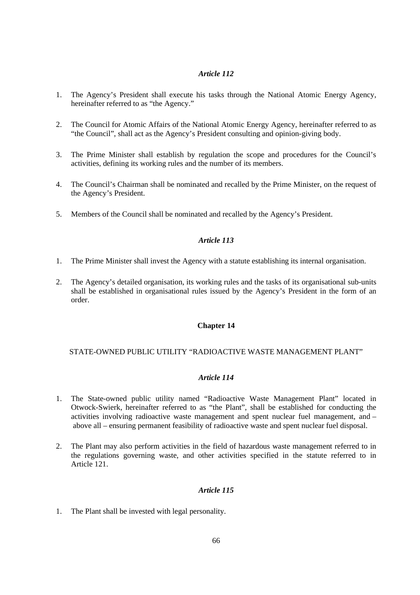- 1. The Agency's President shall execute his tasks through the National Atomic Energy Agency, hereinafter referred to as "the Agency."
- 2. The Council for Atomic Affairs of the National Atomic Energy Agency, hereinafter referred to as "the Council", shall act as the Agency's President consulting and opinion-giving body.
- 3. The Prime Minister shall establish by regulation the scope and procedures for the Council's activities, defining its working rules and the number of its members.
- 4. The Council's Chairman shall be nominated and recalled by the Prime Minister, on the request of the Agency's President.
- 5. Members of the Council shall be nominated and recalled by the Agency's President.

## *Article 113*

- 1. The Prime Minister shall invest the Agency with a statute establishing its internal organisation.
- 2. The Agency's detailed organisation, its working rules and the tasks of its organisational sub-units shall be established in organisational rules issued by the Agency's President in the form of an order.

## **Chapter 14**

## STATE-OWNED PUBLIC UTILITY "RADIOACTIVE WASTE MANAGEMENT PLANT"

## *Article 114*

- 1. The State-owned public utility named "Radioactive Waste Management Plant" located in Otwock-Swierk, hereinafter referred to as "the Plant", shall be established for conducting the activities involving radioactive waste management and spent nuclear fuel management, and – above all – ensuring permanent feasibility of radioactive waste and spent nuclear fuel disposal.
- 2. The Plant may also perform activities in the field of hazardous waste management referred to in the regulations governing waste, and other activities specified in the statute referred to in Article 121.

## *Article 115*

1. The Plant shall be invested with legal personality.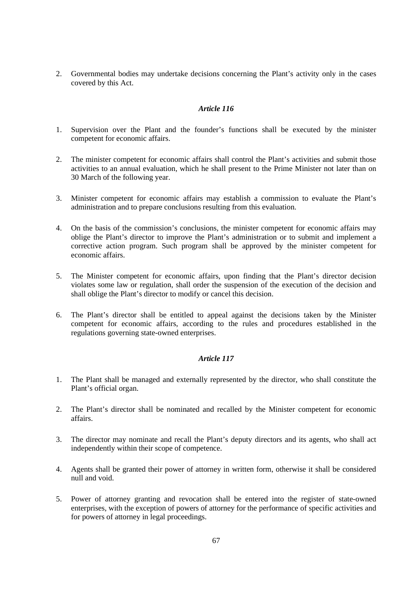2. Governmental bodies may undertake decisions concerning the Plant's activity only in the cases covered by this Act.

### *Article 116*

- 1. Supervision over the Plant and the founder's functions shall be executed by the minister competent for economic affairs.
- 2. The minister competent for economic affairs shall control the Plant's activities and submit those activities to an annual evaluation, which he shall present to the Prime Minister not later than on 30 March of the following year.
- 3. Minister competent for economic affairs may establish a commission to evaluate the Plant's administration and to prepare conclusions resulting from this evaluation.
- 4. On the basis of the commission's conclusions, the minister competent for economic affairs may oblige the Plant's director to improve the Plant's administration or to submit and implement a corrective action program. Such program shall be approved by the minister competent for economic affairs.
- 5. The Minister competent for economic affairs, upon finding that the Plant's director decision violates some law or regulation, shall order the suspension of the execution of the decision and shall oblige the Plant's director to modify or cancel this decision.
- 6. The Plant's director shall be entitled to appeal against the decisions taken by the Minister competent for economic affairs, according to the rules and procedures established in the regulations governing state-owned enterprises.

- 1. The Plant shall be managed and externally represented by the director, who shall constitute the Plant's official organ.
- 2. The Plant's director shall be nominated and recalled by the Minister competent for economic affairs.
- 3. The director may nominate and recall the Plant's deputy directors and its agents, who shall act independently within their scope of competence.
- 4. Agents shall be granted their power of attorney in written form, otherwise it shall be considered null and void.
- 5. Power of attorney granting and revocation shall be entered into the register of state-owned enterprises, with the exception of powers of attorney for the performance of specific activities and for powers of attorney in legal proceedings.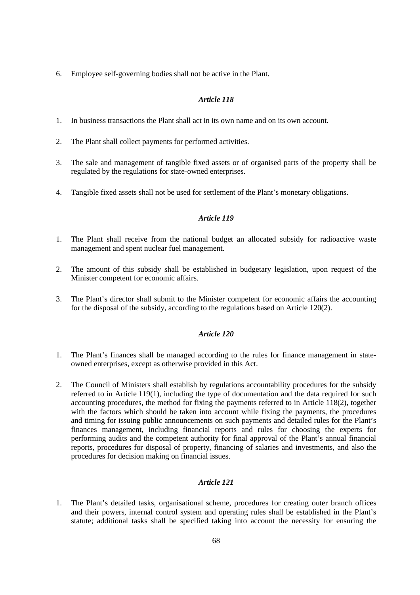6. Employee self-governing bodies shall not be active in the Plant.

## *Article 118*

- 1. In business transactions the Plant shall act in its own name and on its own account.
- 2. The Plant shall collect payments for performed activities.
- 3. The sale and management of tangible fixed assets or of organised parts of the property shall be regulated by the regulations for state-owned enterprises.
- 4. Tangible fixed assets shall not be used for settlement of the Plant's monetary obligations.

## *Article 119*

- 1. The Plant shall receive from the national budget an allocated subsidy for radioactive waste management and spent nuclear fuel management.
- 2. The amount of this subsidy shall be established in budgetary legislation, upon request of the Minister competent for economic affairs.
- 3. The Plant's director shall submit to the Minister competent for economic affairs the accounting for the disposal of the subsidy, according to the regulations based on Article 120(2).

## *Article 120*

- 1. The Plant's finances shall be managed according to the rules for finance management in stateowned enterprises, except as otherwise provided in this Act.
- 2. The Council of Ministers shall establish by regulations accountability procedures for the subsidy referred to in Article 119(1), including the type of documentation and the data required for such accounting procedures, the method for fixing the payments referred to in Article 118(2), together with the factors which should be taken into account while fixing the payments, the procedures and timing for issuing public announcements on such payments and detailed rules for the Plant's finances management, including financial reports and rules for choosing the experts for performing audits and the competent authority for final approval of the Plant's annual financial reports, procedures for disposal of property, financing of salaries and investments, and also the procedures for decision making on financial issues.

## *Article 121*

1. The Plant's detailed tasks, organisational scheme, procedures for creating outer branch offices and their powers, internal control system and operating rules shall be established in the Plant's statute; additional tasks shall be specified taking into account the necessity for ensuring the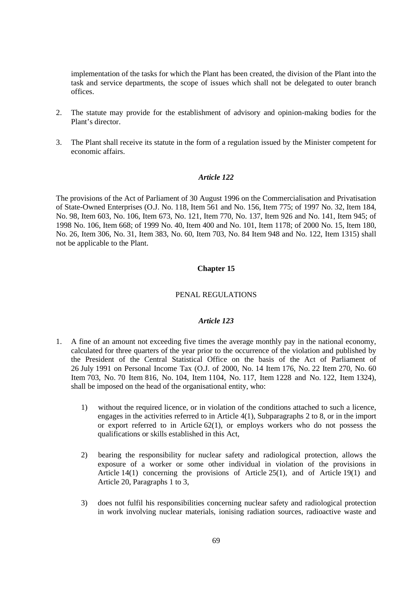implementation of the tasks for which the Plant has been created, the division of the Plant into the task and service departments, the scope of issues which shall not be delegated to outer branch offices.

- 2. The statute may provide for the establishment of advisory and opinion-making bodies for the Plant's director.
- 3. The Plant shall receive its statute in the form of a regulation issued by the Minister competent for economic affairs.

## *Article 122*

The provisions of the Act of Parliament of 30 August 1996 on the Commercialisation and Privatisation of State-Owned Enterprises (O.J. No. 118, Item 561 and No. 156, Item 775; of 1997 No. 32, Item 184, No. 98, Item 603, No. 106, Item 673, No. 121, Item 770, No. 137, Item 926 and No. 141, Item 945; of 1998 No. 106, Item 668; of 1999 No. 40, Item 400 and No. 101, Item 1178; of 2000 No. 15, Item 180, No. 26, Item 306, No. 31, Item 383, No. 60, Item 703, No. 84 Item 948 and No. 122, Item 1315) shall not be applicable to the Plant.

### **Chapter 15**

## PENAL REGULATIONS

- 1. A fine of an amount not exceeding five times the average monthly pay in the national economy, calculated for three quarters of the year prior to the occurrence of the violation and published by the President of the Central Statistical Office on the basis of the Act of Parliament of 26 July 1991 on Personal Income Tax (O.J. of 2000, No. 14 Item 176, No. 22 Item 270, No. 60 Item 703, No. 70 Item 816, No. 104, Item 1104, No. 117, Item 1228 and No. 122, Item 1324), shall be imposed on the head of the organisational entity, who:
	- 1) without the required licence, or in violation of the conditions attached to such a licence, engages in the activities referred to in Article 4(1), Subparagraphs 2 to 8, or in the import or export referred to in Article 62(1), or employs workers who do not possess the qualifications or skills established in this Act,
	- 2) bearing the responsibility for nuclear safety and radiological protection, allows the exposure of a worker or some other individual in violation of the provisions in Article 14(1) concerning the provisions of Article 25(1), and of Article 19(1) and Article 20, Paragraphs 1 to 3,
	- 3) does not fulfil his responsibilities concerning nuclear safety and radiological protection in work involving nuclear materials, ionising radiation sources, radioactive waste and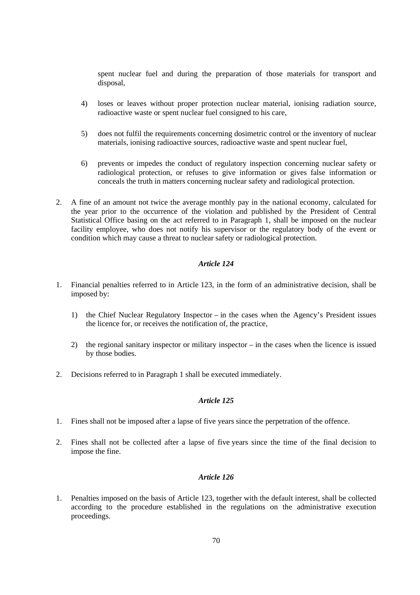spent nuclear fuel and during the preparation of those materials for transport and disposal,

- 4) loses or leaves without proper protection nuclear material, ionising radiation source, radioactive waste or spent nuclear fuel consigned to his care,
- 5) does not fulfil the requirements concerning dosimetric control or the inventory of nuclear materials, ionising radioactive sources, radioactive waste and spent nuclear fuel,
- 6) prevents or impedes the conduct of regulatory inspection concerning nuclear safety or radiological protection, or refuses to give information or gives false information or conceals the truth in matters concerning nuclear safety and radiological protection.
- 2. A fine of an amount not twice the average monthly pay in the national economy, calculated for the year prior to the occurrence of the violation and published by the President of Central Statistical Office basing on the act referred to in Paragraph 1, shall be imposed on the nuclear facility employee, who does not notify his supervisor or the regulatory body of the event or condition which may cause a threat to nuclear safety or radiological protection.

## *Article 124*

- 1. Financial penalties referred to in Article 123, in the form of an administrative decision, shall be imposed by:
	- 1) the Chief Nuclear Regulatory Inspector in the cases when the Agency's President issues the licence for, or receives the notification of, the practice,
	- 2) the regional sanitary inspector or military inspector in the cases when the licence is issued by those bodies.
- 2. Decisions referred to in Paragraph 1 shall be executed immediately.

## *Article 125*

- 1. Fines shall not be imposed after a lapse of five years since the perpetration of the offence.
- 2. Fines shall not be collected after a lapse of five years since the time of the final decision to impose the fine.

## *Article 126*

1. Penalties imposed on the basis of Article 123, together with the default interest, shall be collected according to the procedure established in the regulations on the administrative execution proceedings.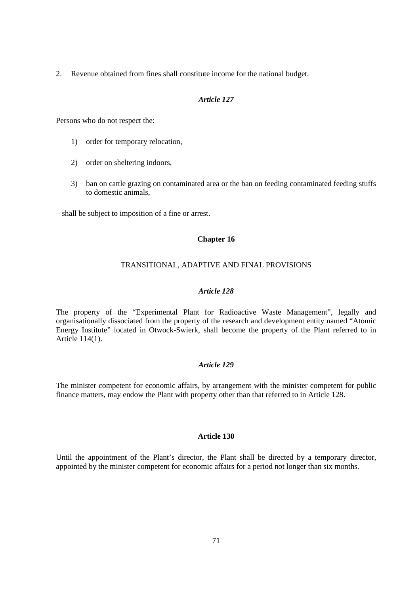2. Revenue obtained from fines shall constitute income for the national budget.

### *Article 127*

Persons who do not respect the:

- 1) order for temporary relocation,
- 2) order on sheltering indoors,
- 3) ban on cattle grazing on contaminated area or the ban on feeding contaminated feeding stuffs to domestic animals,

– shall be subject to imposition of a fine or arrest.

## **Chapter 16**

## TRANSITIONAL, ADAPTIVE AND FINAL PROVISIONS

## *Article 128*

The property of the "Experimental Plant for Radioactive Waste Management", legally and organisationally dissociated from the property of the research and development entity named "Atomic Energy Institute" located in Otwock-Swierk, shall become the property of the Plant referred to in Article 114(1).

## *Article 129*

The minister competent for economic affairs, by arrangement with the minister competent for public finance matters, may endow the Plant with property other than that referred to in Article 128.

### **Article 130**

Until the appointment of the Plant's director, the Plant shall be directed by a temporary director, appointed by the minister competent for economic affairs for a period not longer than six months.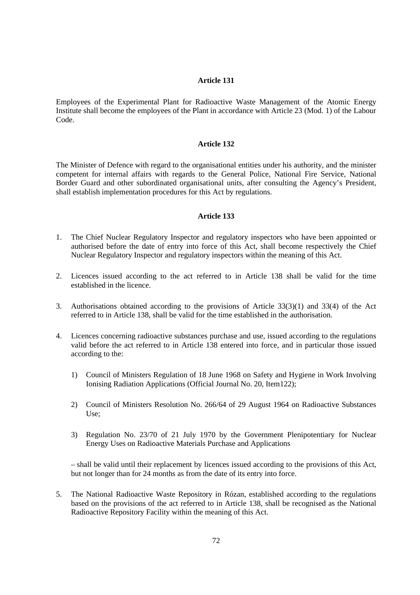Employees of the Experimental Plant for Radioactive Waste Management of the Atomic Energy Institute shall become the employees of the Plant in accordance with Article 23 (Mod. 1) of the Labour Code.

### **Article 132**

The Minister of Defence with regard to the organisational entities under his authority, and the minister competent for internal affairs with regards to the General Police, National Fire Service, National Border Guard and other subordinated organisational units, after consulting the Agency's President, shall establish implementation procedures for this Act by regulations.

### **Article 133**

- 1. The Chief Nuclear Regulatory Inspector and regulatory inspectors who have been appointed or authorised before the date of entry into force of this Act, shall become respectively the Chief Nuclear Regulatory Inspector and regulatory inspectors within the meaning of this Act.
- 2. Licences issued according to the act referred to in Article 138 shall be valid for the time established in the licence.
- 3. Authorisations obtained according to the provisions of Article 33(3)(1) and 33(4) of the Act referred to in Article 138, shall be valid for the time established in the authorisation.
- 4. Licences concerning radioactive substances purchase and use, issued according to the regulations valid before the act referred to in Article 138 entered into force, and in particular those issued according to the:
	- 1) Council of Ministers Regulation of 18 June 1968 on Safety and Hygiene in Work Involving Ionising Radiation Applications (Official Journal No. 20, Item122);
	- 2) Council of Ministers Resolution No. 266/64 of 29 August 1964 on Radioactive Substances Use;
	- 3) Regulation No. 23/70 of 21 July 1970 by the Government Plenipotentiary for Nuclear Energy Uses on Radioactive Materials Purchase and Applications

– shall be valid until their replacement by licences issued according to the provisions of this Act, but not longer than for 24 months as from the date of its entry into force.

5. The National Radioactive Waste Repository in Rózan, established according to the regulations based on the provisions of the act referred to in Article 138, shall be recognised as the National Radioactive Repository Facility within the meaning of this Act.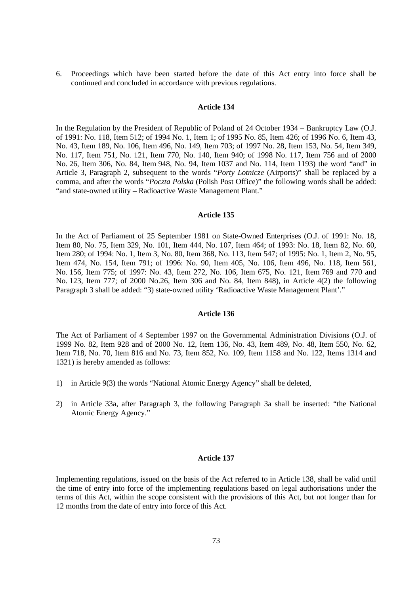6. Proceedings which have been started before the date of this Act entry into force shall be continued and concluded in accordance with previous regulations.

### **Article 134**

In the Regulation by the President of Republic of Poland of 24 October 1934 – Bankruptcy Law (O.J. of 1991: No. 118, Item 512; of 1994 No. 1, Item 1; of 1995 No. 85, Item 426; of 1996 No. 6, Item 43, No. 43, Item 189, No. 106, Item 496, No. 149, Item 703; of 1997 No. 28, Item 153, No. 54, Item 349, No. 117, Item 751, No. 121, Item 770, No. 140, Item 940; of 1998 No. 117, Item 756 and of 2000 No. 26, Item 306, No. 84, Item 948, No. 94, Item 1037 and No. 114, Item 1193) the word "and" in Article 3, Paragraph 2, subsequent to the words "*Porty Lotnicze* (Airports)" shall be replaced by a comma, and after the words "*Poczta Polska* (Polish Post Office)" the following words shall be added: "and state-owned utility – Radioactive Waste Management Plant."

#### **Article 135**

In the Act of Parliament of 25 September 1981 on State-Owned Enterprises (O.J. of 1991: No. 18, Item 80, No. 75, Item 329, No. 101, Item 444, No. 107, Item 464; of 1993: No. 18, Item 82, No. 60, Item 280; of 1994: No. 1, Item 3, No. 80, Item 368, No. 113, Item 547; of 1995: No. 1, Item 2, No. 95, Item 474, No. 154, Item 791; of 1996: No. 90, Item 405, No. 106, Item 496, No. 118, Item 561, No. 156, Item 775; of 1997: No. 43, Item 272, No. 106, Item 675, No. 121, Item 769 and 770 and No. 123, Item 777; of 2000 No.26, Item 306 and No. 84, Item 848), in Article 4(2) the following Paragraph 3 shall be added: "3) state-owned utility 'Radioactive Waste Management Plant'."

#### **Article 136**

The Act of Parliament of 4 September 1997 on the Governmental Administration Divisions (O.J. of 1999 No. 82, Item 928 and of 2000 No. 12, Item 136, No. 43, Item 489, No. 48, Item 550, No. 62, Item 718, No. 70, Item 816 and No. 73, Item 852, No. 109, Item 1158 and No. 122, Items 1314 and 1321) is hereby amended as follows:

- 1) in Article 9(3) the words "National Atomic Energy Agency" shall be deleted,
- 2) in Article 33a, after Paragraph 3, the following Paragraph 3a shall be inserted: "the National Atomic Energy Agency."

#### **Article 137**

Implementing regulations, issued on the basis of the Act referred to in Article 138, shall be valid until the time of entry into force of the implementing regulations based on legal authorisations under the terms of this Act, within the scope consistent with the provisions of this Act, but not longer than for 12 months from the date of entry into force of this Act.